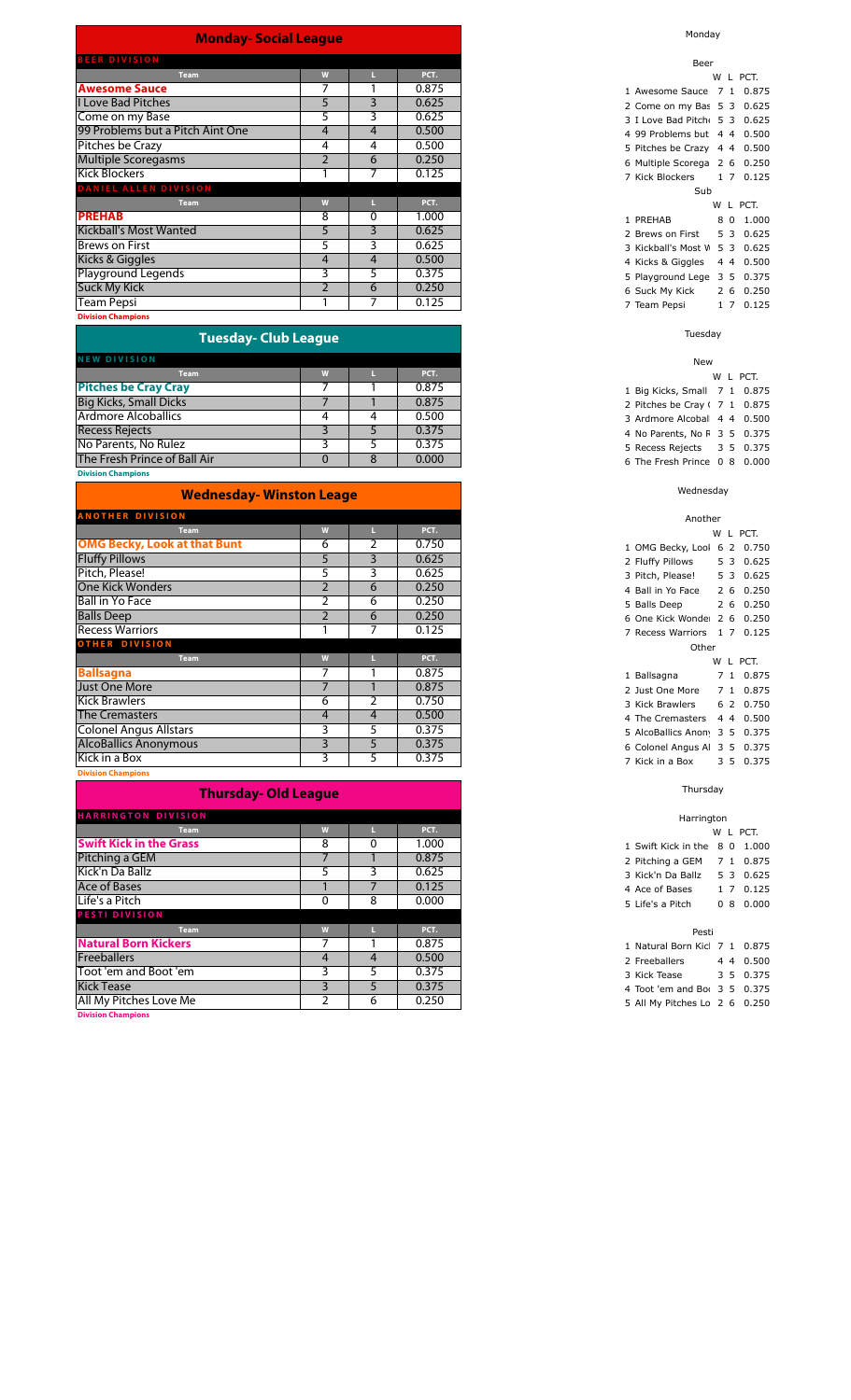### **Monday- Social League**

| <b>BEER DIVISION</b>             |                |                |       |
|----------------------------------|----------------|----------------|-------|
| <b>Team</b>                      | W              | Ш              | PCT.  |
| <b>Awesome Sauce</b>             |                |                | 0.875 |
| <b>I Love Bad Pitches</b>        | 5              | 3              | 0.625 |
| Come on my Base                  | 5              | 3              | 0.625 |
| 99 Problems but a Pitch Aint One | 4              | $\overline{4}$ | 0.500 |
| Pitches be Crazy                 | 4              | 4              | 0.500 |
| <b>Multiple Scoregasms</b>       | $\overline{2}$ | 6              | 0.250 |
| <b>Kick Blockers</b>             |                | 7              | 0.125 |
| <b>DANIEL ALLEN DIVISION</b>     |                |                |       |
| <b>Team</b>                      | W              | Ш              | PCT.  |
| <b>PREHAB</b>                    | 8              | 0              | 1.000 |
| <b>Kickball's Most Wanted</b>    | 5              | 3              | 0.625 |
| <b>Brews on First</b>            | 5              | 3              | 0.625 |
| Kicks & Giggles                  | 4              | 4              | 0.500 |
| Playground Legends               | 3              | 5              | 0.375 |
| <b>Suck My Kick</b>              | $\overline{2}$ | 6              | 0.250 |
| <b>Team Pepsi</b>                |                | 7              | 0.125 |
| <b>Division Champions</b>        |                |                |       |

### **Tuesday- Club League**

|  | PCT.  |
|--|-------|
|  | 0.875 |
|  | 0.875 |
|  | 0.500 |
|  | 0.375 |
|  | 0.375 |
|  | 0.000 |
|  |       |

**Division Champions**

| <b>Wednesday- Winston Leage</b>     |                |                |       |  |  |  |  |
|-------------------------------------|----------------|----------------|-------|--|--|--|--|
| <b>ANOTHER DIVISION</b>             |                |                |       |  |  |  |  |
| <b>Team</b>                         | W              |                | PCT.  |  |  |  |  |
| <b>OMG Becky, Look at that Bunt</b> | 6              | 2              | 0.750 |  |  |  |  |
| <b>Fluffy Pillows</b>               | 5              | 3              | 0.625 |  |  |  |  |
| Pitch, Please!                      | 5              | 3              | 0.625 |  |  |  |  |
| <b>One Kick Wonders</b>             | $\overline{2}$ | 6              | 0.250 |  |  |  |  |
| <b>Ball in Yo Face</b>              | $\overline{2}$ | 6              | 0.250 |  |  |  |  |
| <b>Balls Deep</b>                   | $\overline{2}$ | 6              | 0.250 |  |  |  |  |
| <b>Recess Warriors</b>              |                | 7              | 0.125 |  |  |  |  |
| <b>OTHER DIVISION</b>               |                |                |       |  |  |  |  |
| <b>Team</b>                         | W              |                | PCT.  |  |  |  |  |
| <b>Ballsagna</b>                    |                |                | 0.875 |  |  |  |  |
| <b>Just One More</b>                | ⇁              |                | 0.875 |  |  |  |  |
| Kick Brawlers                       | 6              | 2              | 0.750 |  |  |  |  |
| <b>The Cremasters</b>               | 4              | $\overline{4}$ | 0.500 |  |  |  |  |
| <b>Colonel Angus Allstars</b>       | 3              | 5              | 0.375 |  |  |  |  |
| <b>AlcoBallics Anonymous</b>        | 3              | 5              | 0.375 |  |  |  |  |
| Kick in a Box                       | 3              | 5              | 0.375 |  |  |  |  |
|                                     |                |                |       |  |  |  |  |

**Division Champions**

### **Thursday- Old League**

| <b>HARRINGTON DIVISION</b>     |   |   |       |
|--------------------------------|---|---|-------|
| <b>Team</b>                    | W |   | PCT.  |
| <b>Swift Kick in the Grass</b> | 8 | 0 | 1.000 |
| Pitching a GEM                 |   |   | 0.875 |
| Kick'n Da Ballz                |   | 3 | 0.625 |
| Ace of Bases                   |   |   | 0.125 |
| Life's a Pitch                 |   | 8 | 0.000 |
| <b>PESTI DIVISION</b>          |   |   |       |
| <b>Team</b>                    | W |   | PCT.  |
| <b>Natural Born Kickers</b>    |   |   | 0.875 |
| <b>Freeballers</b>             | 4 | 4 | 0.500 |
| Toot 'em and Boot 'em          |   |   | 0.375 |
| <b>Kick Tease</b>              |   |   | 0.375 |
| All My Pitches Love Me         |   | 6 | 0.250 |
|                                |   |   |       |

**Division Champions**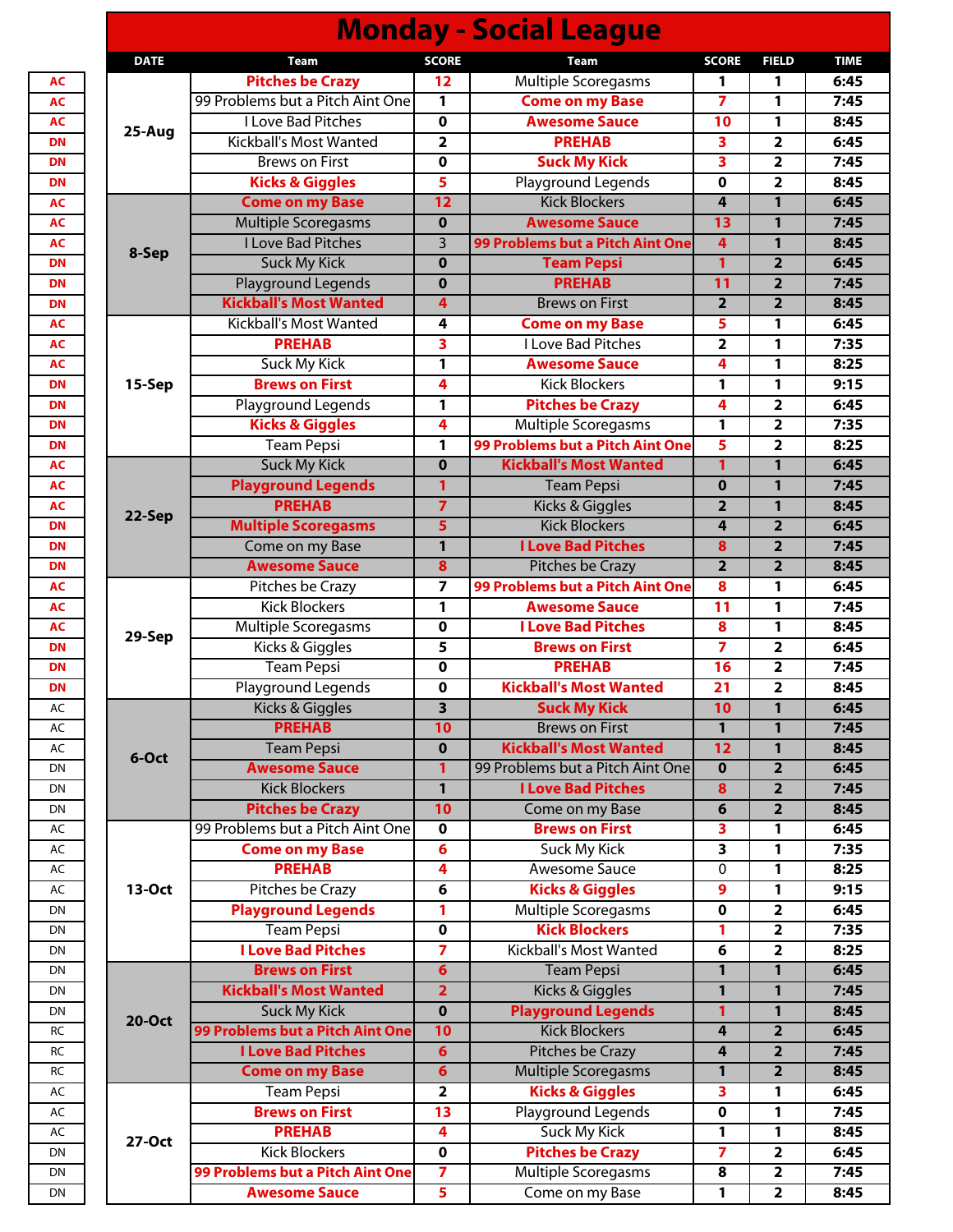| <b>SCORE</b><br><b>DATE</b><br><b>SCORE</b><br><b>FIELD</b><br><b>Team</b><br>Team<br><b>Multiple Scoregasms</b><br><b>Pitches be Crazy</b><br>12<br>1<br>1<br>99 Problems but a Pitch Aint One<br><b>Come on my Base</b><br>1<br>7<br>1<br>I Love Bad Pitches<br>$\mathbf 0$<br><b>Awesome Sauce</b><br>10<br>1<br>25-Aug<br><b>PREHAB</b><br>Kickball's Most Wanted<br>$\overline{2}$<br>$\overline{\mathbf{3}}$<br>$\overline{\mathbf{2}}$<br><b>Suck My Kick</b><br>3<br><b>Brews on First</b><br>$\mathbf 0$<br>$\overline{2}$<br><b>Kicks &amp; Giggles</b><br>5<br>Playground Legends<br>$\overline{\mathbf{2}}$<br>0<br>12<br><b>Kick Blockers</b><br>1<br><b>Come on my Base</b><br>4<br>Multiple Scoregasms<br>$\mathbf 0$<br><b>Awesome Sauce</b><br>13<br>$\mathbf{1}$<br><b>I Love Bad Pitches</b><br>$\overline{3}$<br>99 Problems but a Pitch Aint One<br>$\overline{4}$<br>1<br>8-Sep<br>$\overline{1}$<br>$\overline{2}$<br><b>Suck My Kick</b><br><b>Team Pepsi</b><br>$\mathbf 0$<br><b>PREHAB</b><br>Playground Legends<br>11<br>$\overline{2}$<br>$\mathbf 0$<br><b>Kickball's Most Wanted</b><br>$\overline{2}$<br>$\overline{2}$<br><b>Brews on First</b><br>$\overline{4}$<br>Kickball's Most Wanted<br><b>Come on my Base</b><br>5<br>4<br>1<br><b>PREHAB</b><br>I Love Bad Pitches<br>3<br>$\overline{2}$<br>1<br><b>Suck My Kick</b><br>$\mathbf{1}$<br><b>Awesome Sauce</b><br>4<br>1<br><b>Brews on First</b><br>4<br><b>Kick Blockers</b><br>1<br>15-Sep<br>1<br>Playground Legends<br>1<br><b>Pitches be Crazy</b><br>4<br>$\overline{\mathbf{2}}$<br><b>Kicks &amp; Giggles</b><br>Multiple Scoregasms<br>$\mathbf{1}$<br>$\overline{2}$<br>4<br>99 Problems but a Pitch Aint One<br>5<br><b>Team Pepsi</b><br>$\mathbf{1}$<br>$\overline{\mathbf{2}}$<br><b>Kickball's Most Wanted</b><br><b>Suck My Kick</b><br>$\mathbf 0$<br>1<br>1<br><b>Playground Legends</b><br>$\mathbf{1}$<br>$\mathbf 0$<br>1<br><b>Team Pepsi</b><br><b>PREHAB</b><br>$\overline{7}$<br>Kicks & Giggles<br>$\overline{2}$<br>1<br>22-Sep<br><b>Multiple Scoregasms</b><br>5<br><b>Kick Blockers</b><br>$\overline{2}$<br>4<br><b>I Love Bad Pitches</b><br>Come on my Base<br>$\mathbf{1}$<br>8<br>$\overline{2}$<br>Pitches be Crazy<br><b>Awesome Sauce</b><br>8<br>$\overline{\mathbf{2}}$<br>$\overline{2}$<br>$\overline{z}$<br>99 Problems but a Pitch Aint One<br>Pitches be Crazy<br>8<br>1<br><b>Kick Blockers</b><br>$\mathbf{1}$<br><b>Awesome Sauce</b><br>11<br>1<br>Multiple Scoregasms<br><b>I Love Bad Pitches</b><br>$\mathbf 0$<br>8<br>1<br>29-Sep<br>Kicks & Giggles<br>$\overline{7}$<br>5<br>$\overline{2}$<br><b>Brews on First</b><br><b>Team Pepsi</b><br><b>PREHAB</b><br>$\overline{2}$<br>$\mathbf 0$<br>16<br>Playground Legends<br><b>Kickball's Most Wanted</b><br>$\mathbf 0$<br>21<br>$\overline{\mathbf{2}}$<br>$\overline{\mathbf{3}}$<br>10<br>1<br>Kicks & Giggles<br><b>Suck My Kick</b><br><b>PREHAB</b><br>1<br>10<br><b>Brews on First</b><br>$\mathbf{1}$<br><b>Kickball's Most Wanted</b><br><b>Team Pepsi</b><br>$\overline{12}$<br>$\mathbf 0$<br>1<br>6-Oct<br><b>Awesome Sauce</b><br>99 Problems but a Pitch Aint One<br>1<br>$\overline{\mathbf{2}}$<br>$\mathbf 0$<br><b>Kick Blockers</b><br>$\mathbf{1}$<br><b>I Love Bad Pitches</b><br>8<br>$\overline{2}$<br><b>Pitches be Crazy</b><br>10<br>Come on my Base<br>6<br>$\overline{\mathbf{2}}$<br>99 Problems but a Pitch Aint One<br><b>Brews on First</b><br>$\mathbf 0$<br>3<br>1<br>Suck My Kick<br>3<br><b>Come on my Base</b><br>$6\phantom{1}6$<br>1<br><b>PREHAB</b><br>4<br>Awesome Sauce<br>0<br>1<br>Pitches be Crazy<br><b>Kicks &amp; Giggles</b><br>13-Oct<br>6<br>9<br>1<br><b>Playground Legends</b><br>Multiple Scoregasms<br>$\overline{\mathbf{2}}$<br>1<br>0<br><b>Team Pepsi</b><br><b>Kick Blockers</b><br>$\pmb{0}$<br>1<br>$\overline{\mathbf{2}}$<br><b>I Love Bad Pitches</b><br>Kickball's Most Wanted<br>$\overline{\mathbf{z}}$<br>$\overline{\mathbf{2}}$<br>6<br><b>Brews on First</b><br><b>Team Pepsi</b><br>$6\phantom{1}6$<br>1<br>$\mathbf{1}$<br><b>Kickball's Most Wanted</b><br><b>Kicks &amp; Giggles</b><br>$\overline{2}$<br>$\mathbf{1}$<br>1<br><b>Suck My Kick</b><br><b>Playground Legends</b><br>$\mathbf 0$<br>1<br>$\mathbf{1}$<br><b>20-Oct</b><br>99 Problems but a Pitch Aint One<br><b>Kick Blockers</b><br>10<br>$\overline{\mathbf{2}}$<br>4<br><b>I Love Bad Pitches</b><br>$6\overline{6}$<br><b>Pitches be Crazy</b><br>4<br>$\overline{\mathbf{2}}$<br>Multiple Scoregasms<br><b>Come on my Base</b><br>$6\phantom{1}6$<br>$\overline{\mathbf{2}}$<br>1<br><b>Kicks &amp; Giggles</b><br><b>Team Pepsi</b><br>$\mathbf{2}$<br>3<br>1<br>Playground Legends<br><b>Brews on First</b><br>13<br>1<br>$\mathbf 0$<br><b>PREHAB</b><br><b>Suck My Kick</b><br>4<br>1<br>1 |        |  | <b>Monday - Social League</b> |  |             |
|---------------------------------------------------------------------------------------------------------------------------------------------------------------------------------------------------------------------------------------------------------------------------------------------------------------------------------------------------------------------------------------------------------------------------------------------------------------------------------------------------------------------------------------------------------------------------------------------------------------------------------------------------------------------------------------------------------------------------------------------------------------------------------------------------------------------------------------------------------------------------------------------------------------------------------------------------------------------------------------------------------------------------------------------------------------------------------------------------------------------------------------------------------------------------------------------------------------------------------------------------------------------------------------------------------------------------------------------------------------------------------------------------------------------------------------------------------------------------------------------------------------------------------------------------------------------------------------------------------------------------------------------------------------------------------------------------------------------------------------------------------------------------------------------------------------------------------------------------------------------------------------------------------------------------------------------------------------------------------------------------------------------------------------------------------------------------------------------------------------------------------------------------------------------------------------------------------------------------------------------------------------------------------------------------------------------------------------------------------------------------------------------------------------------------------------------------------------------------------------------------------------------------------------------------------------------------------------------------------------------------------------------------------------------------------------------------------------------------------------------------------------------------------------------------------------------------------------------------------------------------------------------------------------------------------------------------------------------------------------------------------------------------------------------------------------------------------------------------------------------------------------------------------------------------------------------------------------------------------------------------------------------------------------------------------------------------------------------------------------------------------------------------------------------------------------------------------------------------------------------------------------------------------------------------------------------------------------------------------------------------------------------------------------------------------------------------------------------------------------------------------------------------------------------------------------------------------------------------------------------------------------------------------------------------------------------------------------------------------------------------------------------------------------------------------------------------------------------------------------------------------------------------------------------------------------------------------------------------------------------------------------------------------------------------------------------------------------------------------------------------------------------------------------------------------------------------------------------------------------------------------------------------------------------------------------------------------------------------------------------------------------------------------------------------------------------------------------------------------------------------------------------------------------------------------------------------------------------------|--------|--|-------------------------------|--|-------------|
|                                                                                                                                                                                                                                                                                                                                                                                                                                                                                                                                                                                                                                                                                                                                                                                                                                                                                                                                                                                                                                                                                                                                                                                                                                                                                                                                                                                                                                                                                                                                                                                                                                                                                                                                                                                                                                                                                                                                                                                                                                                                                                                                                                                                                                                                                                                                                                                                                                                                                                                                                                                                                                                                                                                                                                                                                                                                                                                                                                                                                                                                                                                                                                                                                                                                                                                                                                                                                                                                                                                                                                                                                                                                                                                                                                                                                                                                                                                                                                                                                                                                                                                                                                                                                                                                                                                                                                                                                                                                                                                                                                                                                                                                                                                                                                                                                                                   |        |  |                               |  | <b>TIME</b> |
|                                                                                                                                                                                                                                                                                                                                                                                                                                                                                                                                                                                                                                                                                                                                                                                                                                                                                                                                                                                                                                                                                                                                                                                                                                                                                                                                                                                                                                                                                                                                                                                                                                                                                                                                                                                                                                                                                                                                                                                                                                                                                                                                                                                                                                                                                                                                                                                                                                                                                                                                                                                                                                                                                                                                                                                                                                                                                                                                                                                                                                                                                                                                                                                                                                                                                                                                                                                                                                                                                                                                                                                                                                                                                                                                                                                                                                                                                                                                                                                                                                                                                                                                                                                                                                                                                                                                                                                                                                                                                                                                                                                                                                                                                                                                                                                                                                                   |        |  |                               |  | 6:45        |
|                                                                                                                                                                                                                                                                                                                                                                                                                                                                                                                                                                                                                                                                                                                                                                                                                                                                                                                                                                                                                                                                                                                                                                                                                                                                                                                                                                                                                                                                                                                                                                                                                                                                                                                                                                                                                                                                                                                                                                                                                                                                                                                                                                                                                                                                                                                                                                                                                                                                                                                                                                                                                                                                                                                                                                                                                                                                                                                                                                                                                                                                                                                                                                                                                                                                                                                                                                                                                                                                                                                                                                                                                                                                                                                                                                                                                                                                                                                                                                                                                                                                                                                                                                                                                                                                                                                                                                                                                                                                                                                                                                                                                                                                                                                                                                                                                                                   |        |  |                               |  | 7:45        |
|                                                                                                                                                                                                                                                                                                                                                                                                                                                                                                                                                                                                                                                                                                                                                                                                                                                                                                                                                                                                                                                                                                                                                                                                                                                                                                                                                                                                                                                                                                                                                                                                                                                                                                                                                                                                                                                                                                                                                                                                                                                                                                                                                                                                                                                                                                                                                                                                                                                                                                                                                                                                                                                                                                                                                                                                                                                                                                                                                                                                                                                                                                                                                                                                                                                                                                                                                                                                                                                                                                                                                                                                                                                                                                                                                                                                                                                                                                                                                                                                                                                                                                                                                                                                                                                                                                                                                                                                                                                                                                                                                                                                                                                                                                                                                                                                                                                   |        |  |                               |  | 8:45        |
|                                                                                                                                                                                                                                                                                                                                                                                                                                                                                                                                                                                                                                                                                                                                                                                                                                                                                                                                                                                                                                                                                                                                                                                                                                                                                                                                                                                                                                                                                                                                                                                                                                                                                                                                                                                                                                                                                                                                                                                                                                                                                                                                                                                                                                                                                                                                                                                                                                                                                                                                                                                                                                                                                                                                                                                                                                                                                                                                                                                                                                                                                                                                                                                                                                                                                                                                                                                                                                                                                                                                                                                                                                                                                                                                                                                                                                                                                                                                                                                                                                                                                                                                                                                                                                                                                                                                                                                                                                                                                                                                                                                                                                                                                                                                                                                                                                                   |        |  |                               |  | 6:45        |
|                                                                                                                                                                                                                                                                                                                                                                                                                                                                                                                                                                                                                                                                                                                                                                                                                                                                                                                                                                                                                                                                                                                                                                                                                                                                                                                                                                                                                                                                                                                                                                                                                                                                                                                                                                                                                                                                                                                                                                                                                                                                                                                                                                                                                                                                                                                                                                                                                                                                                                                                                                                                                                                                                                                                                                                                                                                                                                                                                                                                                                                                                                                                                                                                                                                                                                                                                                                                                                                                                                                                                                                                                                                                                                                                                                                                                                                                                                                                                                                                                                                                                                                                                                                                                                                                                                                                                                                                                                                                                                                                                                                                                                                                                                                                                                                                                                                   |        |  |                               |  | 7:45        |
|                                                                                                                                                                                                                                                                                                                                                                                                                                                                                                                                                                                                                                                                                                                                                                                                                                                                                                                                                                                                                                                                                                                                                                                                                                                                                                                                                                                                                                                                                                                                                                                                                                                                                                                                                                                                                                                                                                                                                                                                                                                                                                                                                                                                                                                                                                                                                                                                                                                                                                                                                                                                                                                                                                                                                                                                                                                                                                                                                                                                                                                                                                                                                                                                                                                                                                                                                                                                                                                                                                                                                                                                                                                                                                                                                                                                                                                                                                                                                                                                                                                                                                                                                                                                                                                                                                                                                                                                                                                                                                                                                                                                                                                                                                                                                                                                                                                   |        |  |                               |  | 8:45        |
|                                                                                                                                                                                                                                                                                                                                                                                                                                                                                                                                                                                                                                                                                                                                                                                                                                                                                                                                                                                                                                                                                                                                                                                                                                                                                                                                                                                                                                                                                                                                                                                                                                                                                                                                                                                                                                                                                                                                                                                                                                                                                                                                                                                                                                                                                                                                                                                                                                                                                                                                                                                                                                                                                                                                                                                                                                                                                                                                                                                                                                                                                                                                                                                                                                                                                                                                                                                                                                                                                                                                                                                                                                                                                                                                                                                                                                                                                                                                                                                                                                                                                                                                                                                                                                                                                                                                                                                                                                                                                                                                                                                                                                                                                                                                                                                                                                                   |        |  |                               |  | 6:45        |
|                                                                                                                                                                                                                                                                                                                                                                                                                                                                                                                                                                                                                                                                                                                                                                                                                                                                                                                                                                                                                                                                                                                                                                                                                                                                                                                                                                                                                                                                                                                                                                                                                                                                                                                                                                                                                                                                                                                                                                                                                                                                                                                                                                                                                                                                                                                                                                                                                                                                                                                                                                                                                                                                                                                                                                                                                                                                                                                                                                                                                                                                                                                                                                                                                                                                                                                                                                                                                                                                                                                                                                                                                                                                                                                                                                                                                                                                                                                                                                                                                                                                                                                                                                                                                                                                                                                                                                                                                                                                                                                                                                                                                                                                                                                                                                                                                                                   |        |  |                               |  | 7:45        |
|                                                                                                                                                                                                                                                                                                                                                                                                                                                                                                                                                                                                                                                                                                                                                                                                                                                                                                                                                                                                                                                                                                                                                                                                                                                                                                                                                                                                                                                                                                                                                                                                                                                                                                                                                                                                                                                                                                                                                                                                                                                                                                                                                                                                                                                                                                                                                                                                                                                                                                                                                                                                                                                                                                                                                                                                                                                                                                                                                                                                                                                                                                                                                                                                                                                                                                                                                                                                                                                                                                                                                                                                                                                                                                                                                                                                                                                                                                                                                                                                                                                                                                                                                                                                                                                                                                                                                                                                                                                                                                                                                                                                                                                                                                                                                                                                                                                   |        |  |                               |  | 8:45        |
|                                                                                                                                                                                                                                                                                                                                                                                                                                                                                                                                                                                                                                                                                                                                                                                                                                                                                                                                                                                                                                                                                                                                                                                                                                                                                                                                                                                                                                                                                                                                                                                                                                                                                                                                                                                                                                                                                                                                                                                                                                                                                                                                                                                                                                                                                                                                                                                                                                                                                                                                                                                                                                                                                                                                                                                                                                                                                                                                                                                                                                                                                                                                                                                                                                                                                                                                                                                                                                                                                                                                                                                                                                                                                                                                                                                                                                                                                                                                                                                                                                                                                                                                                                                                                                                                                                                                                                                                                                                                                                                                                                                                                                                                                                                                                                                                                                                   |        |  |                               |  | 6:45        |
|                                                                                                                                                                                                                                                                                                                                                                                                                                                                                                                                                                                                                                                                                                                                                                                                                                                                                                                                                                                                                                                                                                                                                                                                                                                                                                                                                                                                                                                                                                                                                                                                                                                                                                                                                                                                                                                                                                                                                                                                                                                                                                                                                                                                                                                                                                                                                                                                                                                                                                                                                                                                                                                                                                                                                                                                                                                                                                                                                                                                                                                                                                                                                                                                                                                                                                                                                                                                                                                                                                                                                                                                                                                                                                                                                                                                                                                                                                                                                                                                                                                                                                                                                                                                                                                                                                                                                                                                                                                                                                                                                                                                                                                                                                                                                                                                                                                   |        |  |                               |  | 7:45        |
|                                                                                                                                                                                                                                                                                                                                                                                                                                                                                                                                                                                                                                                                                                                                                                                                                                                                                                                                                                                                                                                                                                                                                                                                                                                                                                                                                                                                                                                                                                                                                                                                                                                                                                                                                                                                                                                                                                                                                                                                                                                                                                                                                                                                                                                                                                                                                                                                                                                                                                                                                                                                                                                                                                                                                                                                                                                                                                                                                                                                                                                                                                                                                                                                                                                                                                                                                                                                                                                                                                                                                                                                                                                                                                                                                                                                                                                                                                                                                                                                                                                                                                                                                                                                                                                                                                                                                                                                                                                                                                                                                                                                                                                                                                                                                                                                                                                   |        |  |                               |  | 8:45        |
|                                                                                                                                                                                                                                                                                                                                                                                                                                                                                                                                                                                                                                                                                                                                                                                                                                                                                                                                                                                                                                                                                                                                                                                                                                                                                                                                                                                                                                                                                                                                                                                                                                                                                                                                                                                                                                                                                                                                                                                                                                                                                                                                                                                                                                                                                                                                                                                                                                                                                                                                                                                                                                                                                                                                                                                                                                                                                                                                                                                                                                                                                                                                                                                                                                                                                                                                                                                                                                                                                                                                                                                                                                                                                                                                                                                                                                                                                                                                                                                                                                                                                                                                                                                                                                                                                                                                                                                                                                                                                                                                                                                                                                                                                                                                                                                                                                                   |        |  |                               |  | 6:45        |
|                                                                                                                                                                                                                                                                                                                                                                                                                                                                                                                                                                                                                                                                                                                                                                                                                                                                                                                                                                                                                                                                                                                                                                                                                                                                                                                                                                                                                                                                                                                                                                                                                                                                                                                                                                                                                                                                                                                                                                                                                                                                                                                                                                                                                                                                                                                                                                                                                                                                                                                                                                                                                                                                                                                                                                                                                                                                                                                                                                                                                                                                                                                                                                                                                                                                                                                                                                                                                                                                                                                                                                                                                                                                                                                                                                                                                                                                                                                                                                                                                                                                                                                                                                                                                                                                                                                                                                                                                                                                                                                                                                                                                                                                                                                                                                                                                                                   |        |  |                               |  | 7:35        |
|                                                                                                                                                                                                                                                                                                                                                                                                                                                                                                                                                                                                                                                                                                                                                                                                                                                                                                                                                                                                                                                                                                                                                                                                                                                                                                                                                                                                                                                                                                                                                                                                                                                                                                                                                                                                                                                                                                                                                                                                                                                                                                                                                                                                                                                                                                                                                                                                                                                                                                                                                                                                                                                                                                                                                                                                                                                                                                                                                                                                                                                                                                                                                                                                                                                                                                                                                                                                                                                                                                                                                                                                                                                                                                                                                                                                                                                                                                                                                                                                                                                                                                                                                                                                                                                                                                                                                                                                                                                                                                                                                                                                                                                                                                                                                                                                                                                   |        |  |                               |  | 8:25        |
|                                                                                                                                                                                                                                                                                                                                                                                                                                                                                                                                                                                                                                                                                                                                                                                                                                                                                                                                                                                                                                                                                                                                                                                                                                                                                                                                                                                                                                                                                                                                                                                                                                                                                                                                                                                                                                                                                                                                                                                                                                                                                                                                                                                                                                                                                                                                                                                                                                                                                                                                                                                                                                                                                                                                                                                                                                                                                                                                                                                                                                                                                                                                                                                                                                                                                                                                                                                                                                                                                                                                                                                                                                                                                                                                                                                                                                                                                                                                                                                                                                                                                                                                                                                                                                                                                                                                                                                                                                                                                                                                                                                                                                                                                                                                                                                                                                                   |        |  |                               |  | 9:15        |
|                                                                                                                                                                                                                                                                                                                                                                                                                                                                                                                                                                                                                                                                                                                                                                                                                                                                                                                                                                                                                                                                                                                                                                                                                                                                                                                                                                                                                                                                                                                                                                                                                                                                                                                                                                                                                                                                                                                                                                                                                                                                                                                                                                                                                                                                                                                                                                                                                                                                                                                                                                                                                                                                                                                                                                                                                                                                                                                                                                                                                                                                                                                                                                                                                                                                                                                                                                                                                                                                                                                                                                                                                                                                                                                                                                                                                                                                                                                                                                                                                                                                                                                                                                                                                                                                                                                                                                                                                                                                                                                                                                                                                                                                                                                                                                                                                                                   |        |  |                               |  | 6:45        |
|                                                                                                                                                                                                                                                                                                                                                                                                                                                                                                                                                                                                                                                                                                                                                                                                                                                                                                                                                                                                                                                                                                                                                                                                                                                                                                                                                                                                                                                                                                                                                                                                                                                                                                                                                                                                                                                                                                                                                                                                                                                                                                                                                                                                                                                                                                                                                                                                                                                                                                                                                                                                                                                                                                                                                                                                                                                                                                                                                                                                                                                                                                                                                                                                                                                                                                                                                                                                                                                                                                                                                                                                                                                                                                                                                                                                                                                                                                                                                                                                                                                                                                                                                                                                                                                                                                                                                                                                                                                                                                                                                                                                                                                                                                                                                                                                                                                   |        |  |                               |  | 7:35        |
|                                                                                                                                                                                                                                                                                                                                                                                                                                                                                                                                                                                                                                                                                                                                                                                                                                                                                                                                                                                                                                                                                                                                                                                                                                                                                                                                                                                                                                                                                                                                                                                                                                                                                                                                                                                                                                                                                                                                                                                                                                                                                                                                                                                                                                                                                                                                                                                                                                                                                                                                                                                                                                                                                                                                                                                                                                                                                                                                                                                                                                                                                                                                                                                                                                                                                                                                                                                                                                                                                                                                                                                                                                                                                                                                                                                                                                                                                                                                                                                                                                                                                                                                                                                                                                                                                                                                                                                                                                                                                                                                                                                                                                                                                                                                                                                                                                                   |        |  |                               |  | 8:25        |
|                                                                                                                                                                                                                                                                                                                                                                                                                                                                                                                                                                                                                                                                                                                                                                                                                                                                                                                                                                                                                                                                                                                                                                                                                                                                                                                                                                                                                                                                                                                                                                                                                                                                                                                                                                                                                                                                                                                                                                                                                                                                                                                                                                                                                                                                                                                                                                                                                                                                                                                                                                                                                                                                                                                                                                                                                                                                                                                                                                                                                                                                                                                                                                                                                                                                                                                                                                                                                                                                                                                                                                                                                                                                                                                                                                                                                                                                                                                                                                                                                                                                                                                                                                                                                                                                                                                                                                                                                                                                                                                                                                                                                                                                                                                                                                                                                                                   |        |  |                               |  |             |
|                                                                                                                                                                                                                                                                                                                                                                                                                                                                                                                                                                                                                                                                                                                                                                                                                                                                                                                                                                                                                                                                                                                                                                                                                                                                                                                                                                                                                                                                                                                                                                                                                                                                                                                                                                                                                                                                                                                                                                                                                                                                                                                                                                                                                                                                                                                                                                                                                                                                                                                                                                                                                                                                                                                                                                                                                                                                                                                                                                                                                                                                                                                                                                                                                                                                                                                                                                                                                                                                                                                                                                                                                                                                                                                                                                                                                                                                                                                                                                                                                                                                                                                                                                                                                                                                                                                                                                                                                                                                                                                                                                                                                                                                                                                                                                                                                                                   |        |  |                               |  | 6:45        |
|                                                                                                                                                                                                                                                                                                                                                                                                                                                                                                                                                                                                                                                                                                                                                                                                                                                                                                                                                                                                                                                                                                                                                                                                                                                                                                                                                                                                                                                                                                                                                                                                                                                                                                                                                                                                                                                                                                                                                                                                                                                                                                                                                                                                                                                                                                                                                                                                                                                                                                                                                                                                                                                                                                                                                                                                                                                                                                                                                                                                                                                                                                                                                                                                                                                                                                                                                                                                                                                                                                                                                                                                                                                                                                                                                                                                                                                                                                                                                                                                                                                                                                                                                                                                                                                                                                                                                                                                                                                                                                                                                                                                                                                                                                                                                                                                                                                   |        |  |                               |  | 7:45        |
|                                                                                                                                                                                                                                                                                                                                                                                                                                                                                                                                                                                                                                                                                                                                                                                                                                                                                                                                                                                                                                                                                                                                                                                                                                                                                                                                                                                                                                                                                                                                                                                                                                                                                                                                                                                                                                                                                                                                                                                                                                                                                                                                                                                                                                                                                                                                                                                                                                                                                                                                                                                                                                                                                                                                                                                                                                                                                                                                                                                                                                                                                                                                                                                                                                                                                                                                                                                                                                                                                                                                                                                                                                                                                                                                                                                                                                                                                                                                                                                                                                                                                                                                                                                                                                                                                                                                                                                                                                                                                                                                                                                                                                                                                                                                                                                                                                                   |        |  |                               |  | 8:45        |
|                                                                                                                                                                                                                                                                                                                                                                                                                                                                                                                                                                                                                                                                                                                                                                                                                                                                                                                                                                                                                                                                                                                                                                                                                                                                                                                                                                                                                                                                                                                                                                                                                                                                                                                                                                                                                                                                                                                                                                                                                                                                                                                                                                                                                                                                                                                                                                                                                                                                                                                                                                                                                                                                                                                                                                                                                                                                                                                                                                                                                                                                                                                                                                                                                                                                                                                                                                                                                                                                                                                                                                                                                                                                                                                                                                                                                                                                                                                                                                                                                                                                                                                                                                                                                                                                                                                                                                                                                                                                                                                                                                                                                                                                                                                                                                                                                                                   |        |  |                               |  | 6:45        |
|                                                                                                                                                                                                                                                                                                                                                                                                                                                                                                                                                                                                                                                                                                                                                                                                                                                                                                                                                                                                                                                                                                                                                                                                                                                                                                                                                                                                                                                                                                                                                                                                                                                                                                                                                                                                                                                                                                                                                                                                                                                                                                                                                                                                                                                                                                                                                                                                                                                                                                                                                                                                                                                                                                                                                                                                                                                                                                                                                                                                                                                                                                                                                                                                                                                                                                                                                                                                                                                                                                                                                                                                                                                                                                                                                                                                                                                                                                                                                                                                                                                                                                                                                                                                                                                                                                                                                                                                                                                                                                                                                                                                                                                                                                                                                                                                                                                   |        |  |                               |  | 7:45        |
|                                                                                                                                                                                                                                                                                                                                                                                                                                                                                                                                                                                                                                                                                                                                                                                                                                                                                                                                                                                                                                                                                                                                                                                                                                                                                                                                                                                                                                                                                                                                                                                                                                                                                                                                                                                                                                                                                                                                                                                                                                                                                                                                                                                                                                                                                                                                                                                                                                                                                                                                                                                                                                                                                                                                                                                                                                                                                                                                                                                                                                                                                                                                                                                                                                                                                                                                                                                                                                                                                                                                                                                                                                                                                                                                                                                                                                                                                                                                                                                                                                                                                                                                                                                                                                                                                                                                                                                                                                                                                                                                                                                                                                                                                                                                                                                                                                                   |        |  |                               |  | 8:45        |
|                                                                                                                                                                                                                                                                                                                                                                                                                                                                                                                                                                                                                                                                                                                                                                                                                                                                                                                                                                                                                                                                                                                                                                                                                                                                                                                                                                                                                                                                                                                                                                                                                                                                                                                                                                                                                                                                                                                                                                                                                                                                                                                                                                                                                                                                                                                                                                                                                                                                                                                                                                                                                                                                                                                                                                                                                                                                                                                                                                                                                                                                                                                                                                                                                                                                                                                                                                                                                                                                                                                                                                                                                                                                                                                                                                                                                                                                                                                                                                                                                                                                                                                                                                                                                                                                                                                                                                                                                                                                                                                                                                                                                                                                                                                                                                                                                                                   |        |  |                               |  | 6:45        |
|                                                                                                                                                                                                                                                                                                                                                                                                                                                                                                                                                                                                                                                                                                                                                                                                                                                                                                                                                                                                                                                                                                                                                                                                                                                                                                                                                                                                                                                                                                                                                                                                                                                                                                                                                                                                                                                                                                                                                                                                                                                                                                                                                                                                                                                                                                                                                                                                                                                                                                                                                                                                                                                                                                                                                                                                                                                                                                                                                                                                                                                                                                                                                                                                                                                                                                                                                                                                                                                                                                                                                                                                                                                                                                                                                                                                                                                                                                                                                                                                                                                                                                                                                                                                                                                                                                                                                                                                                                                                                                                                                                                                                                                                                                                                                                                                                                                   |        |  |                               |  | 7:45        |
|                                                                                                                                                                                                                                                                                                                                                                                                                                                                                                                                                                                                                                                                                                                                                                                                                                                                                                                                                                                                                                                                                                                                                                                                                                                                                                                                                                                                                                                                                                                                                                                                                                                                                                                                                                                                                                                                                                                                                                                                                                                                                                                                                                                                                                                                                                                                                                                                                                                                                                                                                                                                                                                                                                                                                                                                                                                                                                                                                                                                                                                                                                                                                                                                                                                                                                                                                                                                                                                                                                                                                                                                                                                                                                                                                                                                                                                                                                                                                                                                                                                                                                                                                                                                                                                                                                                                                                                                                                                                                                                                                                                                                                                                                                                                                                                                                                                   |        |  |                               |  | 8:45        |
|                                                                                                                                                                                                                                                                                                                                                                                                                                                                                                                                                                                                                                                                                                                                                                                                                                                                                                                                                                                                                                                                                                                                                                                                                                                                                                                                                                                                                                                                                                                                                                                                                                                                                                                                                                                                                                                                                                                                                                                                                                                                                                                                                                                                                                                                                                                                                                                                                                                                                                                                                                                                                                                                                                                                                                                                                                                                                                                                                                                                                                                                                                                                                                                                                                                                                                                                                                                                                                                                                                                                                                                                                                                                                                                                                                                                                                                                                                                                                                                                                                                                                                                                                                                                                                                                                                                                                                                                                                                                                                                                                                                                                                                                                                                                                                                                                                                   |        |  |                               |  | 6:45        |
|                                                                                                                                                                                                                                                                                                                                                                                                                                                                                                                                                                                                                                                                                                                                                                                                                                                                                                                                                                                                                                                                                                                                                                                                                                                                                                                                                                                                                                                                                                                                                                                                                                                                                                                                                                                                                                                                                                                                                                                                                                                                                                                                                                                                                                                                                                                                                                                                                                                                                                                                                                                                                                                                                                                                                                                                                                                                                                                                                                                                                                                                                                                                                                                                                                                                                                                                                                                                                                                                                                                                                                                                                                                                                                                                                                                                                                                                                                                                                                                                                                                                                                                                                                                                                                                                                                                                                                                                                                                                                                                                                                                                                                                                                                                                                                                                                                                   |        |  |                               |  | 7:45        |
|                                                                                                                                                                                                                                                                                                                                                                                                                                                                                                                                                                                                                                                                                                                                                                                                                                                                                                                                                                                                                                                                                                                                                                                                                                                                                                                                                                                                                                                                                                                                                                                                                                                                                                                                                                                                                                                                                                                                                                                                                                                                                                                                                                                                                                                                                                                                                                                                                                                                                                                                                                                                                                                                                                                                                                                                                                                                                                                                                                                                                                                                                                                                                                                                                                                                                                                                                                                                                                                                                                                                                                                                                                                                                                                                                                                                                                                                                                                                                                                                                                                                                                                                                                                                                                                                                                                                                                                                                                                                                                                                                                                                                                                                                                                                                                                                                                                   |        |  |                               |  | 8:45        |
|                                                                                                                                                                                                                                                                                                                                                                                                                                                                                                                                                                                                                                                                                                                                                                                                                                                                                                                                                                                                                                                                                                                                                                                                                                                                                                                                                                                                                                                                                                                                                                                                                                                                                                                                                                                                                                                                                                                                                                                                                                                                                                                                                                                                                                                                                                                                                                                                                                                                                                                                                                                                                                                                                                                                                                                                                                                                                                                                                                                                                                                                                                                                                                                                                                                                                                                                                                                                                                                                                                                                                                                                                                                                                                                                                                                                                                                                                                                                                                                                                                                                                                                                                                                                                                                                                                                                                                                                                                                                                                                                                                                                                                                                                                                                                                                                                                                   |        |  |                               |  | 6:45        |
|                                                                                                                                                                                                                                                                                                                                                                                                                                                                                                                                                                                                                                                                                                                                                                                                                                                                                                                                                                                                                                                                                                                                                                                                                                                                                                                                                                                                                                                                                                                                                                                                                                                                                                                                                                                                                                                                                                                                                                                                                                                                                                                                                                                                                                                                                                                                                                                                                                                                                                                                                                                                                                                                                                                                                                                                                                                                                                                                                                                                                                                                                                                                                                                                                                                                                                                                                                                                                                                                                                                                                                                                                                                                                                                                                                                                                                                                                                                                                                                                                                                                                                                                                                                                                                                                                                                                                                                                                                                                                                                                                                                                                                                                                                                                                                                                                                                   |        |  |                               |  | 7:45        |
|                                                                                                                                                                                                                                                                                                                                                                                                                                                                                                                                                                                                                                                                                                                                                                                                                                                                                                                                                                                                                                                                                                                                                                                                                                                                                                                                                                                                                                                                                                                                                                                                                                                                                                                                                                                                                                                                                                                                                                                                                                                                                                                                                                                                                                                                                                                                                                                                                                                                                                                                                                                                                                                                                                                                                                                                                                                                                                                                                                                                                                                                                                                                                                                                                                                                                                                                                                                                                                                                                                                                                                                                                                                                                                                                                                                                                                                                                                                                                                                                                                                                                                                                                                                                                                                                                                                                                                                                                                                                                                                                                                                                                                                                                                                                                                                                                                                   |        |  |                               |  | 8:45        |
|                                                                                                                                                                                                                                                                                                                                                                                                                                                                                                                                                                                                                                                                                                                                                                                                                                                                                                                                                                                                                                                                                                                                                                                                                                                                                                                                                                                                                                                                                                                                                                                                                                                                                                                                                                                                                                                                                                                                                                                                                                                                                                                                                                                                                                                                                                                                                                                                                                                                                                                                                                                                                                                                                                                                                                                                                                                                                                                                                                                                                                                                                                                                                                                                                                                                                                                                                                                                                                                                                                                                                                                                                                                                                                                                                                                                                                                                                                                                                                                                                                                                                                                                                                                                                                                                                                                                                                                                                                                                                                                                                                                                                                                                                                                                                                                                                                                   |        |  |                               |  | 6:45        |
|                                                                                                                                                                                                                                                                                                                                                                                                                                                                                                                                                                                                                                                                                                                                                                                                                                                                                                                                                                                                                                                                                                                                                                                                                                                                                                                                                                                                                                                                                                                                                                                                                                                                                                                                                                                                                                                                                                                                                                                                                                                                                                                                                                                                                                                                                                                                                                                                                                                                                                                                                                                                                                                                                                                                                                                                                                                                                                                                                                                                                                                                                                                                                                                                                                                                                                                                                                                                                                                                                                                                                                                                                                                                                                                                                                                                                                                                                                                                                                                                                                                                                                                                                                                                                                                                                                                                                                                                                                                                                                                                                                                                                                                                                                                                                                                                                                                   |        |  |                               |  | 7:45        |
|                                                                                                                                                                                                                                                                                                                                                                                                                                                                                                                                                                                                                                                                                                                                                                                                                                                                                                                                                                                                                                                                                                                                                                                                                                                                                                                                                                                                                                                                                                                                                                                                                                                                                                                                                                                                                                                                                                                                                                                                                                                                                                                                                                                                                                                                                                                                                                                                                                                                                                                                                                                                                                                                                                                                                                                                                                                                                                                                                                                                                                                                                                                                                                                                                                                                                                                                                                                                                                                                                                                                                                                                                                                                                                                                                                                                                                                                                                                                                                                                                                                                                                                                                                                                                                                                                                                                                                                                                                                                                                                                                                                                                                                                                                                                                                                                                                                   |        |  |                               |  | 8:45        |
|                                                                                                                                                                                                                                                                                                                                                                                                                                                                                                                                                                                                                                                                                                                                                                                                                                                                                                                                                                                                                                                                                                                                                                                                                                                                                                                                                                                                                                                                                                                                                                                                                                                                                                                                                                                                                                                                                                                                                                                                                                                                                                                                                                                                                                                                                                                                                                                                                                                                                                                                                                                                                                                                                                                                                                                                                                                                                                                                                                                                                                                                                                                                                                                                                                                                                                                                                                                                                                                                                                                                                                                                                                                                                                                                                                                                                                                                                                                                                                                                                                                                                                                                                                                                                                                                                                                                                                                                                                                                                                                                                                                                                                                                                                                                                                                                                                                   |        |  |                               |  | 6:45        |
|                                                                                                                                                                                                                                                                                                                                                                                                                                                                                                                                                                                                                                                                                                                                                                                                                                                                                                                                                                                                                                                                                                                                                                                                                                                                                                                                                                                                                                                                                                                                                                                                                                                                                                                                                                                                                                                                                                                                                                                                                                                                                                                                                                                                                                                                                                                                                                                                                                                                                                                                                                                                                                                                                                                                                                                                                                                                                                                                                                                                                                                                                                                                                                                                                                                                                                                                                                                                                                                                                                                                                                                                                                                                                                                                                                                                                                                                                                                                                                                                                                                                                                                                                                                                                                                                                                                                                                                                                                                                                                                                                                                                                                                                                                                                                                                                                                                   |        |  |                               |  | 7:35        |
|                                                                                                                                                                                                                                                                                                                                                                                                                                                                                                                                                                                                                                                                                                                                                                                                                                                                                                                                                                                                                                                                                                                                                                                                                                                                                                                                                                                                                                                                                                                                                                                                                                                                                                                                                                                                                                                                                                                                                                                                                                                                                                                                                                                                                                                                                                                                                                                                                                                                                                                                                                                                                                                                                                                                                                                                                                                                                                                                                                                                                                                                                                                                                                                                                                                                                                                                                                                                                                                                                                                                                                                                                                                                                                                                                                                                                                                                                                                                                                                                                                                                                                                                                                                                                                                                                                                                                                                                                                                                                                                                                                                                                                                                                                                                                                                                                                                   |        |  |                               |  | 8:25        |
|                                                                                                                                                                                                                                                                                                                                                                                                                                                                                                                                                                                                                                                                                                                                                                                                                                                                                                                                                                                                                                                                                                                                                                                                                                                                                                                                                                                                                                                                                                                                                                                                                                                                                                                                                                                                                                                                                                                                                                                                                                                                                                                                                                                                                                                                                                                                                                                                                                                                                                                                                                                                                                                                                                                                                                                                                                                                                                                                                                                                                                                                                                                                                                                                                                                                                                                                                                                                                                                                                                                                                                                                                                                                                                                                                                                                                                                                                                                                                                                                                                                                                                                                                                                                                                                                                                                                                                                                                                                                                                                                                                                                                                                                                                                                                                                                                                                   |        |  |                               |  | 9:15        |
|                                                                                                                                                                                                                                                                                                                                                                                                                                                                                                                                                                                                                                                                                                                                                                                                                                                                                                                                                                                                                                                                                                                                                                                                                                                                                                                                                                                                                                                                                                                                                                                                                                                                                                                                                                                                                                                                                                                                                                                                                                                                                                                                                                                                                                                                                                                                                                                                                                                                                                                                                                                                                                                                                                                                                                                                                                                                                                                                                                                                                                                                                                                                                                                                                                                                                                                                                                                                                                                                                                                                                                                                                                                                                                                                                                                                                                                                                                                                                                                                                                                                                                                                                                                                                                                                                                                                                                                                                                                                                                                                                                                                                                                                                                                                                                                                                                                   |        |  |                               |  | 6:45        |
|                                                                                                                                                                                                                                                                                                                                                                                                                                                                                                                                                                                                                                                                                                                                                                                                                                                                                                                                                                                                                                                                                                                                                                                                                                                                                                                                                                                                                                                                                                                                                                                                                                                                                                                                                                                                                                                                                                                                                                                                                                                                                                                                                                                                                                                                                                                                                                                                                                                                                                                                                                                                                                                                                                                                                                                                                                                                                                                                                                                                                                                                                                                                                                                                                                                                                                                                                                                                                                                                                                                                                                                                                                                                                                                                                                                                                                                                                                                                                                                                                                                                                                                                                                                                                                                                                                                                                                                                                                                                                                                                                                                                                                                                                                                                                                                                                                                   |        |  |                               |  | 7:35        |
|                                                                                                                                                                                                                                                                                                                                                                                                                                                                                                                                                                                                                                                                                                                                                                                                                                                                                                                                                                                                                                                                                                                                                                                                                                                                                                                                                                                                                                                                                                                                                                                                                                                                                                                                                                                                                                                                                                                                                                                                                                                                                                                                                                                                                                                                                                                                                                                                                                                                                                                                                                                                                                                                                                                                                                                                                                                                                                                                                                                                                                                                                                                                                                                                                                                                                                                                                                                                                                                                                                                                                                                                                                                                                                                                                                                                                                                                                                                                                                                                                                                                                                                                                                                                                                                                                                                                                                                                                                                                                                                                                                                                                                                                                                                                                                                                                                                   |        |  |                               |  | 8:25        |
|                                                                                                                                                                                                                                                                                                                                                                                                                                                                                                                                                                                                                                                                                                                                                                                                                                                                                                                                                                                                                                                                                                                                                                                                                                                                                                                                                                                                                                                                                                                                                                                                                                                                                                                                                                                                                                                                                                                                                                                                                                                                                                                                                                                                                                                                                                                                                                                                                                                                                                                                                                                                                                                                                                                                                                                                                                                                                                                                                                                                                                                                                                                                                                                                                                                                                                                                                                                                                                                                                                                                                                                                                                                                                                                                                                                                                                                                                                                                                                                                                                                                                                                                                                                                                                                                                                                                                                                                                                                                                                                                                                                                                                                                                                                                                                                                                                                   |        |  |                               |  | 6:45        |
|                                                                                                                                                                                                                                                                                                                                                                                                                                                                                                                                                                                                                                                                                                                                                                                                                                                                                                                                                                                                                                                                                                                                                                                                                                                                                                                                                                                                                                                                                                                                                                                                                                                                                                                                                                                                                                                                                                                                                                                                                                                                                                                                                                                                                                                                                                                                                                                                                                                                                                                                                                                                                                                                                                                                                                                                                                                                                                                                                                                                                                                                                                                                                                                                                                                                                                                                                                                                                                                                                                                                                                                                                                                                                                                                                                                                                                                                                                                                                                                                                                                                                                                                                                                                                                                                                                                                                                                                                                                                                                                                                                                                                                                                                                                                                                                                                                                   |        |  |                               |  | 7:45        |
|                                                                                                                                                                                                                                                                                                                                                                                                                                                                                                                                                                                                                                                                                                                                                                                                                                                                                                                                                                                                                                                                                                                                                                                                                                                                                                                                                                                                                                                                                                                                                                                                                                                                                                                                                                                                                                                                                                                                                                                                                                                                                                                                                                                                                                                                                                                                                                                                                                                                                                                                                                                                                                                                                                                                                                                                                                                                                                                                                                                                                                                                                                                                                                                                                                                                                                                                                                                                                                                                                                                                                                                                                                                                                                                                                                                                                                                                                                                                                                                                                                                                                                                                                                                                                                                                                                                                                                                                                                                                                                                                                                                                                                                                                                                                                                                                                                                   |        |  |                               |  |             |
|                                                                                                                                                                                                                                                                                                                                                                                                                                                                                                                                                                                                                                                                                                                                                                                                                                                                                                                                                                                                                                                                                                                                                                                                                                                                                                                                                                                                                                                                                                                                                                                                                                                                                                                                                                                                                                                                                                                                                                                                                                                                                                                                                                                                                                                                                                                                                                                                                                                                                                                                                                                                                                                                                                                                                                                                                                                                                                                                                                                                                                                                                                                                                                                                                                                                                                                                                                                                                                                                                                                                                                                                                                                                                                                                                                                                                                                                                                                                                                                                                                                                                                                                                                                                                                                                                                                                                                                                                                                                                                                                                                                                                                                                                                                                                                                                                                                   |        |  |                               |  | 8:45        |
|                                                                                                                                                                                                                                                                                                                                                                                                                                                                                                                                                                                                                                                                                                                                                                                                                                                                                                                                                                                                                                                                                                                                                                                                                                                                                                                                                                                                                                                                                                                                                                                                                                                                                                                                                                                                                                                                                                                                                                                                                                                                                                                                                                                                                                                                                                                                                                                                                                                                                                                                                                                                                                                                                                                                                                                                                                                                                                                                                                                                                                                                                                                                                                                                                                                                                                                                                                                                                                                                                                                                                                                                                                                                                                                                                                                                                                                                                                                                                                                                                                                                                                                                                                                                                                                                                                                                                                                                                                                                                                                                                                                                                                                                                                                                                                                                                                                   |        |  |                               |  | 6:45        |
|                                                                                                                                                                                                                                                                                                                                                                                                                                                                                                                                                                                                                                                                                                                                                                                                                                                                                                                                                                                                                                                                                                                                                                                                                                                                                                                                                                                                                                                                                                                                                                                                                                                                                                                                                                                                                                                                                                                                                                                                                                                                                                                                                                                                                                                                                                                                                                                                                                                                                                                                                                                                                                                                                                                                                                                                                                                                                                                                                                                                                                                                                                                                                                                                                                                                                                                                                                                                                                                                                                                                                                                                                                                                                                                                                                                                                                                                                                                                                                                                                                                                                                                                                                                                                                                                                                                                                                                                                                                                                                                                                                                                                                                                                                                                                                                                                                                   |        |  |                               |  | 7:45        |
|                                                                                                                                                                                                                                                                                                                                                                                                                                                                                                                                                                                                                                                                                                                                                                                                                                                                                                                                                                                                                                                                                                                                                                                                                                                                                                                                                                                                                                                                                                                                                                                                                                                                                                                                                                                                                                                                                                                                                                                                                                                                                                                                                                                                                                                                                                                                                                                                                                                                                                                                                                                                                                                                                                                                                                                                                                                                                                                                                                                                                                                                                                                                                                                                                                                                                                                                                                                                                                                                                                                                                                                                                                                                                                                                                                                                                                                                                                                                                                                                                                                                                                                                                                                                                                                                                                                                                                                                                                                                                                                                                                                                                                                                                                                                                                                                                                                   |        |  |                               |  | 8:45        |
|                                                                                                                                                                                                                                                                                                                                                                                                                                                                                                                                                                                                                                                                                                                                                                                                                                                                                                                                                                                                                                                                                                                                                                                                                                                                                                                                                                                                                                                                                                                                                                                                                                                                                                                                                                                                                                                                                                                                                                                                                                                                                                                                                                                                                                                                                                                                                                                                                                                                                                                                                                                                                                                                                                                                                                                                                                                                                                                                                                                                                                                                                                                                                                                                                                                                                                                                                                                                                                                                                                                                                                                                                                                                                                                                                                                                                                                                                                                                                                                                                                                                                                                                                                                                                                                                                                                                                                                                                                                                                                                                                                                                                                                                                                                                                                                                                                                   |        |  |                               |  | 6:45        |
|                                                                                                                                                                                                                                                                                                                                                                                                                                                                                                                                                                                                                                                                                                                                                                                                                                                                                                                                                                                                                                                                                                                                                                                                                                                                                                                                                                                                                                                                                                                                                                                                                                                                                                                                                                                                                                                                                                                                                                                                                                                                                                                                                                                                                                                                                                                                                                                                                                                                                                                                                                                                                                                                                                                                                                                                                                                                                                                                                                                                                                                                                                                                                                                                                                                                                                                                                                                                                                                                                                                                                                                                                                                                                                                                                                                                                                                                                                                                                                                                                                                                                                                                                                                                                                                                                                                                                                                                                                                                                                                                                                                                                                                                                                                                                                                                                                                   |        |  |                               |  | 7:45        |
|                                                                                                                                                                                                                                                                                                                                                                                                                                                                                                                                                                                                                                                                                                                                                                                                                                                                                                                                                                                                                                                                                                                                                                                                                                                                                                                                                                                                                                                                                                                                                                                                                                                                                                                                                                                                                                                                                                                                                                                                                                                                                                                                                                                                                                                                                                                                                                                                                                                                                                                                                                                                                                                                                                                                                                                                                                                                                                                                                                                                                                                                                                                                                                                                                                                                                                                                                                                                                                                                                                                                                                                                                                                                                                                                                                                                                                                                                                                                                                                                                                                                                                                                                                                                                                                                                                                                                                                                                                                                                                                                                                                                                                                                                                                                                                                                                                                   | 27-Oct |  |                               |  | 8:45        |
| <b>Kick Blockers</b><br><b>Pitches be Crazy</b><br>7<br>$\mathbf 0$<br>$\overline{\mathbf{2}}$                                                                                                                                                                                                                                                                                                                                                                                                                                                                                                                                                                                                                                                                                                                                                                                                                                                                                                                                                                                                                                                                                                                                                                                                                                                                                                                                                                                                                                                                                                                                                                                                                                                                                                                                                                                                                                                                                                                                                                                                                                                                                                                                                                                                                                                                                                                                                                                                                                                                                                                                                                                                                                                                                                                                                                                                                                                                                                                                                                                                                                                                                                                                                                                                                                                                                                                                                                                                                                                                                                                                                                                                                                                                                                                                                                                                                                                                                                                                                                                                                                                                                                                                                                                                                                                                                                                                                                                                                                                                                                                                                                                                                                                                                                                                                    |        |  |                               |  | 6:45        |
| $\overline{7}$<br>Multiple Scoregasms<br>99 Problems but a Pitch Aint One<br>8<br>$\overline{\mathbf{2}}$                                                                                                                                                                                                                                                                                                                                                                                                                                                                                                                                                                                                                                                                                                                                                                                                                                                                                                                                                                                                                                                                                                                                                                                                                                                                                                                                                                                                                                                                                                                                                                                                                                                                                                                                                                                                                                                                                                                                                                                                                                                                                                                                                                                                                                                                                                                                                                                                                                                                                                                                                                                                                                                                                                                                                                                                                                                                                                                                                                                                                                                                                                                                                                                                                                                                                                                                                                                                                                                                                                                                                                                                                                                                                                                                                                                                                                                                                                                                                                                                                                                                                                                                                                                                                                                                                                                                                                                                                                                                                                                                                                                                                                                                                                                                         |        |  |                               |  | 7:45        |
| Come on my Base<br>5<br>1<br>$\overline{\mathbf{2}}$<br><b>Awesome Sauce</b>                                                                                                                                                                                                                                                                                                                                                                                                                                                                                                                                                                                                                                                                                                                                                                                                                                                                                                                                                                                                                                                                                                                                                                                                                                                                                                                                                                                                                                                                                                                                                                                                                                                                                                                                                                                                                                                                                                                                                                                                                                                                                                                                                                                                                                                                                                                                                                                                                                                                                                                                                                                                                                                                                                                                                                                                                                                                                                                                                                                                                                                                                                                                                                                                                                                                                                                                                                                                                                                                                                                                                                                                                                                                                                                                                                                                                                                                                                                                                                                                                                                                                                                                                                                                                                                                                                                                                                                                                                                                                                                                                                                                                                                                                                                                                                      |        |  |                               |  | 8:45        |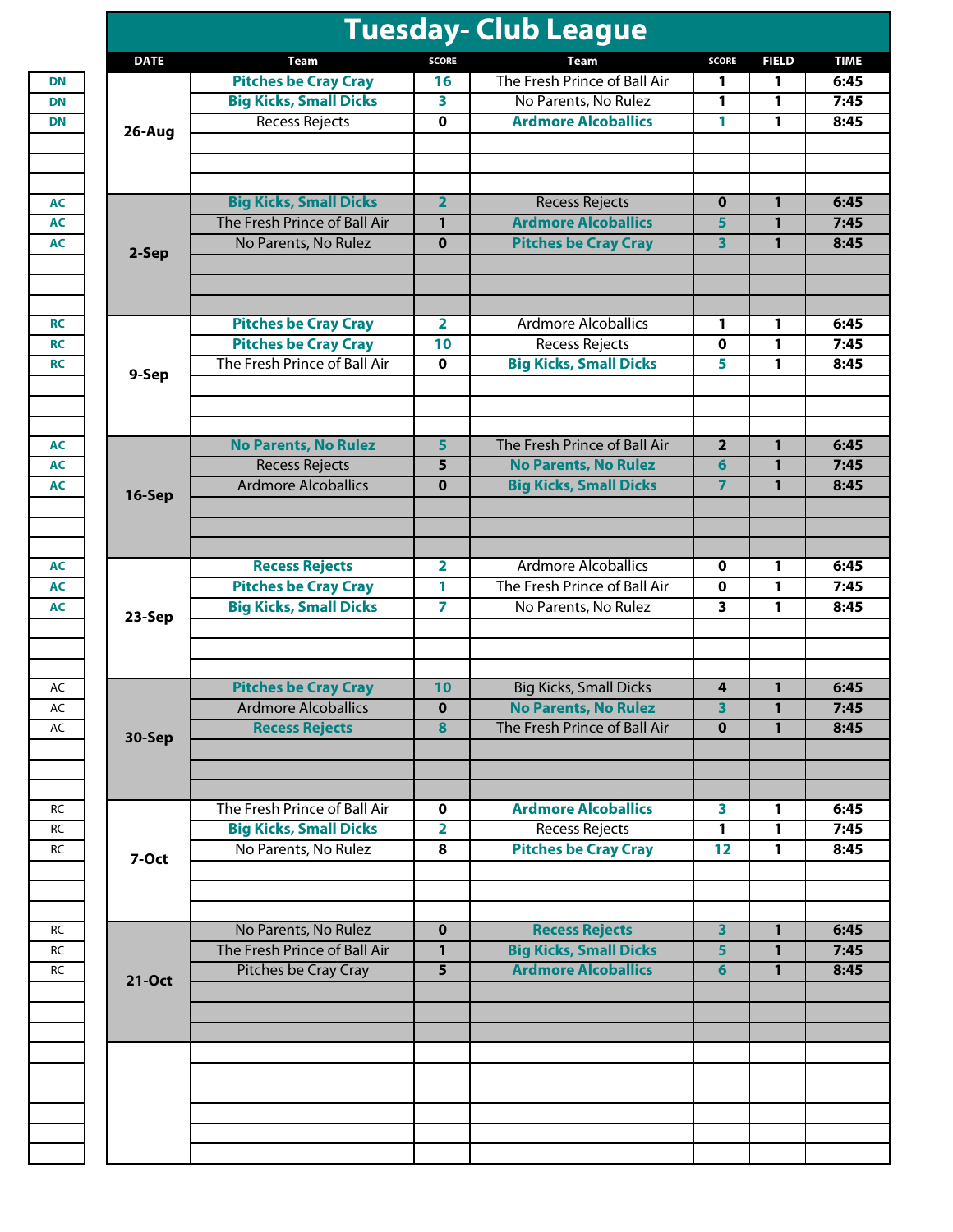|             |                               |                         | <b>Tuesday- Club League</b>   |                         |              |  |
|-------------|-------------------------------|-------------------------|-------------------------------|-------------------------|--------------|--|
| <b>DATE</b> | Team                          | <b>SCORE</b>            | <b>Team</b>                   | <b>SCORE</b>            | <b>FIELD</b> |  |
|             | <b>Pitches be Cray Cray</b>   | 16                      | The Fresh Prince of Ball Air  | 1                       | 1            |  |
|             | <b>Big Kicks, Small Dicks</b> | 3                       | No Parents, No Rulez          | 1                       | 1            |  |
| 26-Aug      | <b>Recess Rejects</b>         | 0                       | <b>Ardmore Alcoballics</b>    | 1                       | 1            |  |
|             |                               |                         |                               |                         |              |  |
|             | <b>Big Kicks, Small Dicks</b> | $\overline{2}$          | <b>Recess Rejects</b>         | $\mathbf 0$             | $\mathbf{1}$ |  |
|             | The Fresh Prince of Ball Air  | 1                       | <b>Ardmore Alcoballics</b>    | 5                       | $\mathbf{1}$ |  |
|             | No Parents, No Rulez          | $\bf{0}$                | <b>Pitches be Cray Cray</b>   | $\overline{\mathbf{3}}$ | $\mathbf{1}$ |  |
| 2-Sep       |                               |                         |                               |                         |              |  |
|             | <b>Pitches be Cray Cray</b>   | $\overline{\mathbf{2}}$ | <b>Ardmore Alcoballics</b>    | 1                       | 1            |  |
|             | <b>Pitches be Cray Cray</b>   | 10                      | <b>Recess Rejects</b>         | $\mathbf 0$             | 1            |  |
|             | The Fresh Prince of Ball Air  | $\mathbf 0$             | <b>Big Kicks, Small Dicks</b> | 5                       | 1            |  |
| 9-Sep       |                               |                         |                               |                         |              |  |
|             | <b>No Parents, No Rulez</b>   | 5                       | The Fresh Prince of Ball Air  | $\overline{2}$          | $\mathbf{1}$ |  |
|             | <b>Recess Rejects</b>         | 5                       | <b>No Parents, No Rulez</b>   | 6                       | 1            |  |
|             | <b>Ardmore Alcoballics</b>    | $\bf{0}$                | <b>Big Kicks, Small Dicks</b> | $\overline{7}$          | $\mathbf{1}$ |  |
| 16-Sep      |                               |                         |                               |                         |              |  |
|             | <b>Recess Rejects</b>         | $\overline{\mathbf{2}}$ | <b>Ardmore Alcoballics</b>    | $\mathbf 0$             | 1            |  |
|             | <b>Pitches be Cray Cray</b>   | 1                       | The Fresh Prince of Ball Air  | $\mathbf 0$             | 1            |  |
|             | <b>Big Kicks, Small Dicks</b> | $\overline{\mathbf{7}}$ | No Parents, No Rulez          | 3                       | 1            |  |
| 23-Sep      |                               |                         |                               |                         |              |  |
|             | <b>Pitches be Cray Cray</b>   | 10                      | <b>Big Kicks, Small Dicks</b> | 4                       | 1            |  |
|             | <b>Ardmore Alcoballics</b>    | $\Omega$                | <b>No Parents, No Rulez</b>   | $\overline{\mathbf{3}}$ | $\mathbf{1}$ |  |
| 30-Sep      | <b>Recess Rejects</b>         | 8                       | The Fresh Prince of Ball Air  | $\mathbf{0}$            | $\mathbf{1}$ |  |
|             |                               |                         |                               |                         |              |  |
|             | The Fresh Prince of Ball Air  | $\mathbf 0$             | <b>Ardmore Alcoballics</b>    | 3                       | 1            |  |
|             | <b>Big Kicks, Small Dicks</b> | $\overline{\mathbf{2}}$ | <b>Recess Rejects</b>         | 1                       | 1            |  |
| 7-Oct       | No Parents, No Rulez          | 8                       | <b>Pitches be Cray Cray</b>   | 12                      | 1            |  |
|             |                               |                         |                               |                         |              |  |
|             | No Parents, No Rulez          | $\mathbf 0$             | <b>Recess Rejects</b>         | $\overline{\mathbf{3}}$ | 1            |  |
|             | The Fresh Prince of Ball Air  | $\mathbf{1}$            | <b>Big Kicks, Small Dicks</b> | 5                       | $\mathbf{1}$ |  |
| 21-Oct      | Pitches be Cray Cray          | 5                       | <b>Ardmore Alcoballics</b>    | 6                       | 1            |  |
|             |                               |                         |                               |                         |              |  |
|             |                               |                         |                               |                         |              |  |
|             |                               |                         |                               |                         |              |  |
|             |                               |                         |                               |                         |              |  |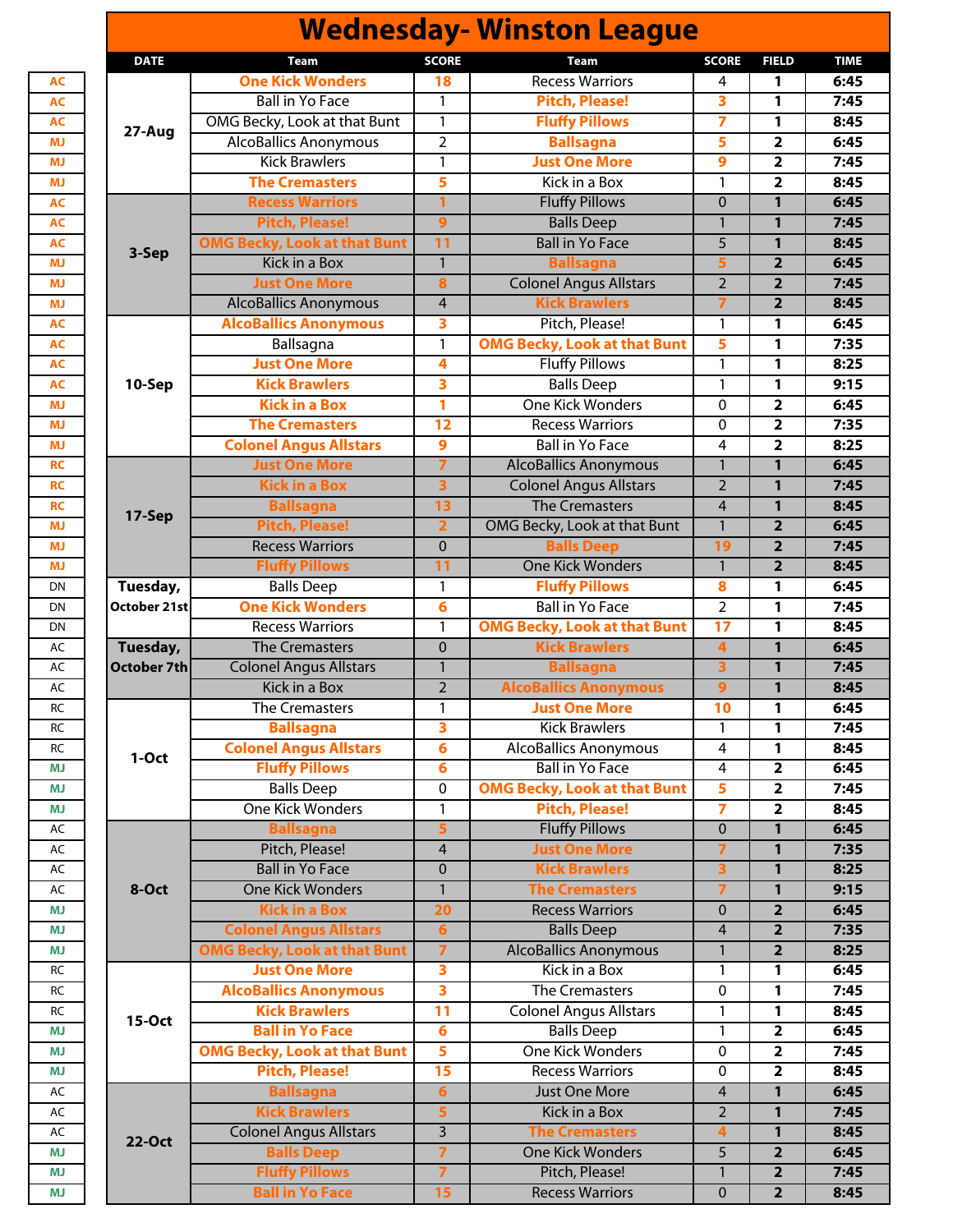|               |                                     |                         | <b>Wednesday- Winston League</b>    |                         |                         |             |
|---------------|-------------------------------------|-------------------------|-------------------------------------|-------------------------|-------------------------|-------------|
| <b>DATE</b>   | <b>Team</b>                         | <b>SCORE</b>            | Team                                | <b>SCORE</b>            | <b>FIELD</b>            | <b>TIME</b> |
|               | <b>One Kick Wonders</b>             | 18                      | <b>Recess Warriors</b>              | 4                       | 1                       | 6:45        |
|               | <b>Ball in Yo Face</b>              | 1                       | <b>Pitch, Please!</b>               | 3                       | 1                       | 7:45        |
|               | OMG Becky, Look at that Bunt        | $\mathbf{1}$            | <b>Fluffy Pillows</b>               | 7                       | 1                       | 8:45        |
| 27-Aug        | <b>AlcoBallics Anonymous</b>        | $\overline{2}$          | <b>Ballsagna</b>                    | 5                       | $\overline{\mathbf{2}}$ | 6:45        |
|               | <b>Kick Brawlers</b>                | 1                       | <b>Just One More</b>                | 9                       | $\overline{2}$          | 7:45        |
|               | <b>The Cremasters</b>               | 5                       | Kick in a Box                       | 1                       | $\overline{\mathbf{2}}$ | 8:45        |
|               | <b>Recess Warriors</b>              | 1                       | <b>Fluffy Pillows</b>               | $\mathbf 0$             | $\overline{1}$          | 6:45        |
|               | <b>Pitch, Please!</b>               | $\mathbf{9}$            | <b>Balls Deep</b>                   | $\mathbf{1}$            | $\mathbf{1}$            | 7:45        |
|               | <b>OMG Becky, Look at that Bunt</b> | 11                      | <b>Ball in Yo Face</b>              | $\overline{5}$          | 1                       | 8:45        |
| 3-Sep         | <b>Kick in a Box</b>                | $\overline{1}$          | <b>Ballsagna</b>                    | 5                       | $\overline{2}$          | 6:45        |
|               | <b>Just One More</b>                |                         |                                     | $\overline{2}$          | $\overline{2}$          | 7:45        |
|               |                                     | 8                       | <b>Colonel Angus Allstars</b>       |                         |                         |             |
|               | <b>AlcoBallics Anonymous</b>        | $\overline{4}$          | <b>Kick Brawlers</b>                | $\overline{7}$          | $\overline{2}$          | 8:45        |
|               | <b>AlcoBallics Anonymous</b>        | 3                       | Pitch, Please!                      | 1                       | 1                       | 6:45        |
|               | Ballsagna                           | 1                       | <b>OMG Becky, Look at that Bunt</b> | 5                       | 1                       | 7:35        |
|               | <b>Just One More</b>                | $\overline{\mathbf{4}}$ | <b>Fluffy Pillows</b>               | 1                       | 1                       | 8:25        |
| 10-Sep        | <b>Kick Brawlers</b>                | $\overline{\mathbf{3}}$ | <b>Balls Deep</b>                   | $\mathbf{1}$            | 1                       | 9:15        |
|               | <b>Kick in a Box</b>                | 1                       | <b>One Kick Wonders</b>             | 0                       | $\overline{\mathbf{2}}$ | 6:45        |
|               | <b>The Cremasters</b>               | 12                      | <b>Recess Warriors</b>              | 0                       | $\overline{\mathbf{2}}$ | 7:35        |
|               | <b>Colonel Angus Allstars</b>       | $\overline{9}$          | <b>Ball in Yo Face</b>              | 4                       | $\mathbf{2}$            | 8:25        |
|               | <b>Just One More</b>                | $\overline{7}$          | <b>AlcoBallics Anonymous</b>        | $\mathbf{1}$            | 1                       | 6:45        |
|               | <b>Kick in a Box</b>                | $\overline{\mathbf{3}}$ | <b>Colonel Angus Allstars</b>       | $\overline{2}$          | $\mathbf{1}$            | 7:45        |
|               | <b>Ballsagna</b>                    | 13                      | <b>The Cremasters</b>               | $\overline{4}$          | $\mathbf{1}$            | 8:45        |
| 17-Sep        | <b>Pitch, Please!</b>               | $\overline{2}$          | OMG Becky, Look at that Bunt        | $\mathbf{1}$            | $\overline{2}$          | 6:45        |
|               | <b>Recess Warriors</b>              | $\overline{0}$          | <b>Balls Deep</b>                   | 19                      | $\overline{\mathbf{2}}$ | 7:45        |
|               | <b>Fluffy Pillows</b>               | 11                      | <b>One Kick Wonders</b>             | $\mathbf{1}$            | $\overline{2}$          | 8:45        |
|               |                                     |                         |                                     |                         |                         |             |
| Tuesday,      | <b>Balls Deep</b>                   | 1                       | <b>Fluffy Pillows</b>               | 8                       | 1                       | 6:45        |
| October 21st  | <b>One Kick Wonders</b>             | $6\phantom{1}6$         | <b>Ball in Yo Face</b>              | $\overline{2}$          | 1                       | 7:45        |
|               | <b>Recess Warriors</b>              | 1                       | <b>OMG Becky, Look at that Bunt</b> | $\overline{17}$         | 1                       | 8:45        |
| Tuesday,      | <b>The Cremasters</b>               | $\mathbf 0$             | <b>Kick Brawlers</b>                | $\overline{4}$          | $\mathbf{1}$            | 6:45        |
| October 7th   | <b>Colonel Angus Allstars</b>       | $\mathbf{1}$            | <b>Ballsagna</b>                    | 3                       | 1                       | 7:45        |
|               | Kick in a Box                       | $\overline{2}$          | <b>AlcoBallics Anonymous</b>        | 9                       | $\mathbf{1}$            | 8:45        |
|               | The Cremasters                      | 1                       | <b>Just One More</b>                | 10                      | 1                       | 6:45        |
|               | <b>Ballsagna</b>                    | 3                       | <b>Kick Brawlers</b>                | 1                       | 1                       | 7:45        |
| 1-Oct         | <b>Colonel Angus Allstars</b>       | $6\phantom{1}6$         | <b>AlcoBallics Anonymous</b>        | 4                       | 1                       | 8:45        |
|               | <b>Fluffy Pillows</b>               | 6                       | <b>Ball in Yo Face</b>              | 4                       | $\overline{\mathbf{2}}$ | 6:45        |
|               | <b>Balls Deep</b>                   | $\mathbf 0$             | <b>OMG Becky, Look at that Bunt</b> | 5                       | $\overline{\mathbf{2}}$ | 7:45        |
|               | <b>One Kick Wonders</b>             | 1                       | <b>Pitch, Please!</b>               | 7                       | 2                       | 8:45        |
|               | <b>Ballsagna</b>                    | 5                       | <b>Fluffy Pillows</b>               | $\overline{0}$          | 1                       | 6:45        |
|               | Pitch, Please!                      | $\overline{4}$          | <b>Just One More</b>                | 7                       | 1                       | 7:35        |
|               | <b>Ball in Yo Face</b>              | $\mathbf 0$             | <b>Kick Brawlers</b>                | $\overline{\mathbf{3}}$ | 1                       | 8:25        |
| 8-Oct         | <b>One Kick Wonders</b>             | $\mathbf{1}$            | <b>The Cremasters</b>               | $\overline{7}$          | 1                       | 9:15        |
|               | <b>Kick in a Box</b>                | 20                      | <b>Recess Warriors</b>              | $\overline{0}$          | $\overline{\mathbf{2}}$ | 6:45        |
|               | <b>Colonel Angus Allstars</b>       | $6\phantom{1}6$         | <b>Balls Deep</b>                   | $\overline{4}$          | $\overline{\mathbf{2}}$ | 7:35        |
|               | <b>OMG Becky, Look at that Bunt</b> | $\overline{7}$          | <b>AlcoBallics Anonymous</b>        | $\mathbf{1}$            | $\overline{2}$          | 8:25        |
|               | <b>Just One More</b>                | $\overline{\mathbf{3}}$ | Kick in a Box                       | 1                       | 1                       | 6:45        |
| 15-Oct        | <b>AlcoBallics Anonymous</b>        | $\overline{\mathbf{3}}$ | The Cremasters                      | $\mathbf 0$             | $\mathbf{1}$            | 7:45        |
|               |                                     |                         |                                     |                         |                         |             |
|               | <b>Kick Brawlers</b>                | 11                      | <b>Colonel Angus Allstars</b>       | 1                       | 1                       | 8:45        |
|               | <b>Ball in Yo Face</b>              | $6\phantom{1}6$         | <b>Balls Deep</b>                   | 1                       | $\overline{\mathbf{2}}$ | 6:45        |
|               | <b>OMG Becky, Look at that Bunt</b> | 5                       | <b>One Kick Wonders</b>             | $\pmb{0}$               | 2                       | 7:45        |
|               | <b>Pitch, Please!</b>               | 15                      | <b>Recess Warriors</b>              | 0                       | $\overline{\mathbf{2}}$ | 8:45        |
|               | <b>Ballsagna</b>                    | $6\phantom{1}6$         | <b>Just One More</b>                | 4                       | 1                       | 6:45        |
|               | <b>Kick Brawlers</b>                | 5                       | <b>Kick in a Box</b>                | $\overline{2}$          | 1                       | 7:45        |
| <b>22-Oct</b> | <b>Colonel Angus Allstars</b>       | 3                       | <b>The Cremasters</b>               | 4                       | 1                       | 8:45        |
|               | <b>Balls Deep</b>                   | $\overline{ }$          | <b>One Kick Wonders</b>             | 5                       | $\overline{\mathbf{2}}$ | 6:45        |
|               | <b>Fluffy Pillows</b>               | $\overline{7}$          | Pitch, Please!                      | $\mathbf{1}$            | $\overline{\mathbf{2}}$ | 7:45        |
|               |                                     |                         | <b>Recess Warriors</b>              |                         |                         |             |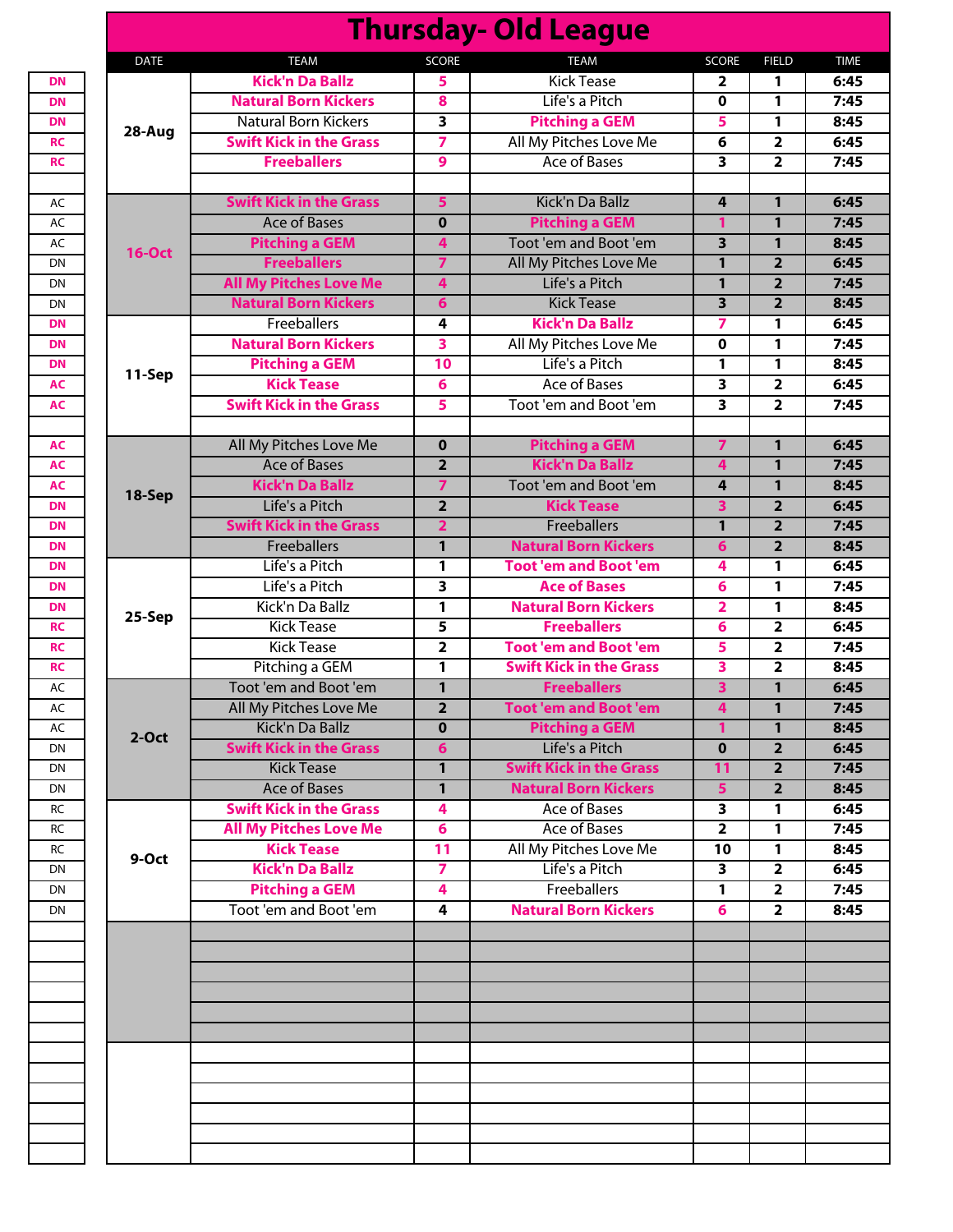|               |                                |                         | <b>Thursday- Old League</b>                                   |                         |                                  |              |
|---------------|--------------------------------|-------------------------|---------------------------------------------------------------|-------------------------|----------------------------------|--------------|
| <b>DATE</b>   | <b>TEAM</b>                    | <b>SCORE</b>            | <b>TEAM</b>                                                   | <b>SCORE</b>            | <b>FIELD</b>                     | <b>TIME</b>  |
|               | <b>Kick'n Da Ballz</b>         | 5.                      | <b>Kick Tease</b>                                             | 2                       | 1                                | 6:45         |
|               | <b>Natural Born Kickers</b>    | 8                       | Life's a Pitch                                                | 0                       | 1                                | 7:45         |
| 28-Aug        | Natural Born Kickers           | $\overline{\mathbf{3}}$ | <b>Pitching a GEM</b>                                         | 5                       | 1                                | 8:45         |
|               | <b>Swift Kick in the Grass</b> | $\overline{\mathbf{7}}$ | All My Pitches Love Me                                        | 6                       | $\overline{2}$                   | 6:45         |
|               | <b>Freeballers</b>             | 9                       | <b>Ace of Bases</b>                                           | $\overline{\mathbf{3}}$ | $\overline{2}$                   | 7:45         |
|               | <b>Swift Kick in the Grass</b> | 5                       | Kick'n Da Ballz                                               | 4                       | 1                                | 6:45         |
|               | <b>Ace of Bases</b>            | $\mathbf 0$             | <b>Pitching a GEM</b>                                         | 1                       | $\mathbf{1}$                     | 7:45         |
|               | <b>Pitching a GEM</b>          | $\overline{\mathbf{4}}$ | Toot 'em and Boot 'em                                         | $\overline{\mathbf{3}}$ | $\mathbf{1}$                     |              |
| <b>16-Oct</b> | <b>Freeballers</b>             | $\overline{7}$          | All My Pitches Love Me                                        | $\overline{1}$          |                                  | 8:45         |
|               | <b>All My Pitches Love Me</b>  |                         | Life's a Pitch                                                | 1                       | $\overline{2}$<br>$\overline{2}$ | 6:45<br>7:45 |
|               | <b>Natural Born Kickers</b>    | 4                       | <b>Kick Tease</b>                                             | $\overline{\mathbf{3}}$ | $\overline{2}$                   |              |
|               |                                | 6                       |                                                               |                         |                                  | 8:45         |
|               | Freeballers                    | 4                       | <b>Kick'n Da Ballz</b>                                        | 7                       | 1                                | 6:45<br>7:45 |
|               | <b>Natural Born Kickers</b>    | 3                       | All My Pitches Love Me                                        | 0                       | 1                                | 8:45         |
| 11-Sep        | <b>Pitching a GEM</b>          | 10                      | Life's a Pitch                                                | 1                       | 1                                |              |
|               | <b>Kick Tease</b>              | 6                       | <b>Ace of Bases</b>                                           | 3                       | $\overline{2}$                   | 6:45         |
|               | <b>Swift Kick in the Grass</b> | 5                       | Toot 'em and Boot 'em                                         | 3                       | $\overline{2}$                   |              |
|               | All My Pitches Love Me         | $\mathbf 0$             | <b>Pitching a GEM</b>                                         | 7                       | 1                                |              |
|               | <b>Ace of Bases</b>            | $\overline{2}$          | <b>Kick'n Da Ballz</b>                                        | 4                       | $\mathbf{1}$                     | 6:45<br>7:45 |
|               | <b>Kick'n Da Ballz</b>         | $\overline{7}$          | Toot 'em and Boot 'em                                         | 4                       | $\mathbf{1}$                     | 8:45         |
| 18-Sep        | Life's a Pitch                 | $\overline{2}$          | <b>Kick Tease</b>                                             | 3                       | $\overline{2}$                   |              |
|               | <b>Swift Kick in the Grass</b> | $\overline{2}$          | <b>Freeballers</b>                                            | $\mathbf{1}$            | $\overline{2}$                   |              |
|               | <b>Freeballers</b>             | $\mathbf{1}$            | <b>Natural Born Kickers</b>                                   | 6                       | $\overline{2}$                   |              |
|               | Life's a Pitch                 | 1                       | <b>Toot 'em and Boot 'em</b>                                  | 4                       | 1                                |              |
|               | Life's a Pitch                 | 3                       | <b>Ace of Bases</b>                                           | 6                       | 1                                |              |
|               | Kick'n Da Ballz                | 1                       | <b>Natural Born Kickers</b>                                   | $\overline{\mathbf{2}}$ | 1                                |              |
| 25-Sep        | <b>Kick Tease</b>              | 5                       | <b>Freeballers</b>                                            | 6                       | $\overline{2}$                   |              |
|               | <b>Kick Tease</b>              | $\overline{2}$          | <b>Toot 'em and Boot 'em</b>                                  | 5                       | $\overline{2}$                   |              |
|               | Pitching a GEM                 | 1                       | <b>Swift Kick in the Grass</b>                                | 3                       | $\overline{2}$                   |              |
|               | Toot 'em and Boot 'em          | $\mathbf{1}$            | <b>Freeballers</b>                                            | 3                       | $\mathbf{1}$                     |              |
|               | All My Pitches Love Me         | $\overline{\mathbf{2}}$ | <b>Toot 'em and Boot 'em</b>                                  | 4                       | 1                                |              |
|               | Kick'n Da Ballz                | $\mathbf 0$             | <b>Pitching a GEM</b>                                         | 1                       | $\mathbf{1}$                     |              |
| $2-Oct$       | <b>Swift Kick in the Grass</b> | 6                       | Life's a Pitch                                                | $\mathbf 0$             | $\overline{2}$                   |              |
|               | <b>Kick Tease</b>              |                         |                                                               |                         |                                  |              |
|               | <b>Ace of Bases</b>            | 1<br>1                  | <b>Swift Kick in the Grass</b><br><b>Natural Born Kickers</b> | 11<br>5                 | $\overline{2}$<br>$\overline{2}$ | 7:45<br>8:45 |
|               | <b>Swift Kick in the Grass</b> | 4                       | Ace of Bases                                                  | 3                       | 1                                |              |
|               | <b>All My Pitches Love Me</b>  | 6                       | <b>Ace of Bases</b>                                           | $\overline{\mathbf{2}}$ | 1                                | 6:45         |
|               | <b>Kick Tease</b>              | 11                      | All My Pitches Love Me                                        | 10                      | 1                                | 8:45         |
| 9-Oct         | <b>Kick'n Da Ballz</b>         | $\overline{\mathbf{z}}$ | Life's a Pitch                                                | 3                       | 2                                |              |
|               | <b>Pitching a GEM</b>          | 4                       | Freeballers                                                   | 1                       | $\overline{\mathbf{2}}$          | 6:45<br>7:45 |
|               | Toot 'em and Boot 'em          | 4                       | <b>Natural Born Kickers</b>                                   | 6                       | $\overline{2}$                   | 8:45         |
|               |                                |                         |                                                               |                         |                                  |              |
|               |                                |                         |                                                               |                         |                                  |              |
|               |                                |                         |                                                               |                         |                                  |              |
|               |                                |                         |                                                               |                         |                                  |              |
|               |                                |                         |                                                               |                         |                                  |              |
|               |                                |                         |                                                               |                         |                                  |              |
|               |                                |                         |                                                               |                         |                                  |              |
|               |                                |                         |                                                               |                         |                                  |              |
|               |                                |                         |                                                               |                         |                                  |              |
|               |                                |                         |                                                               |                         |                                  |              |
|               |                                |                         |                                                               |                         |                                  |              |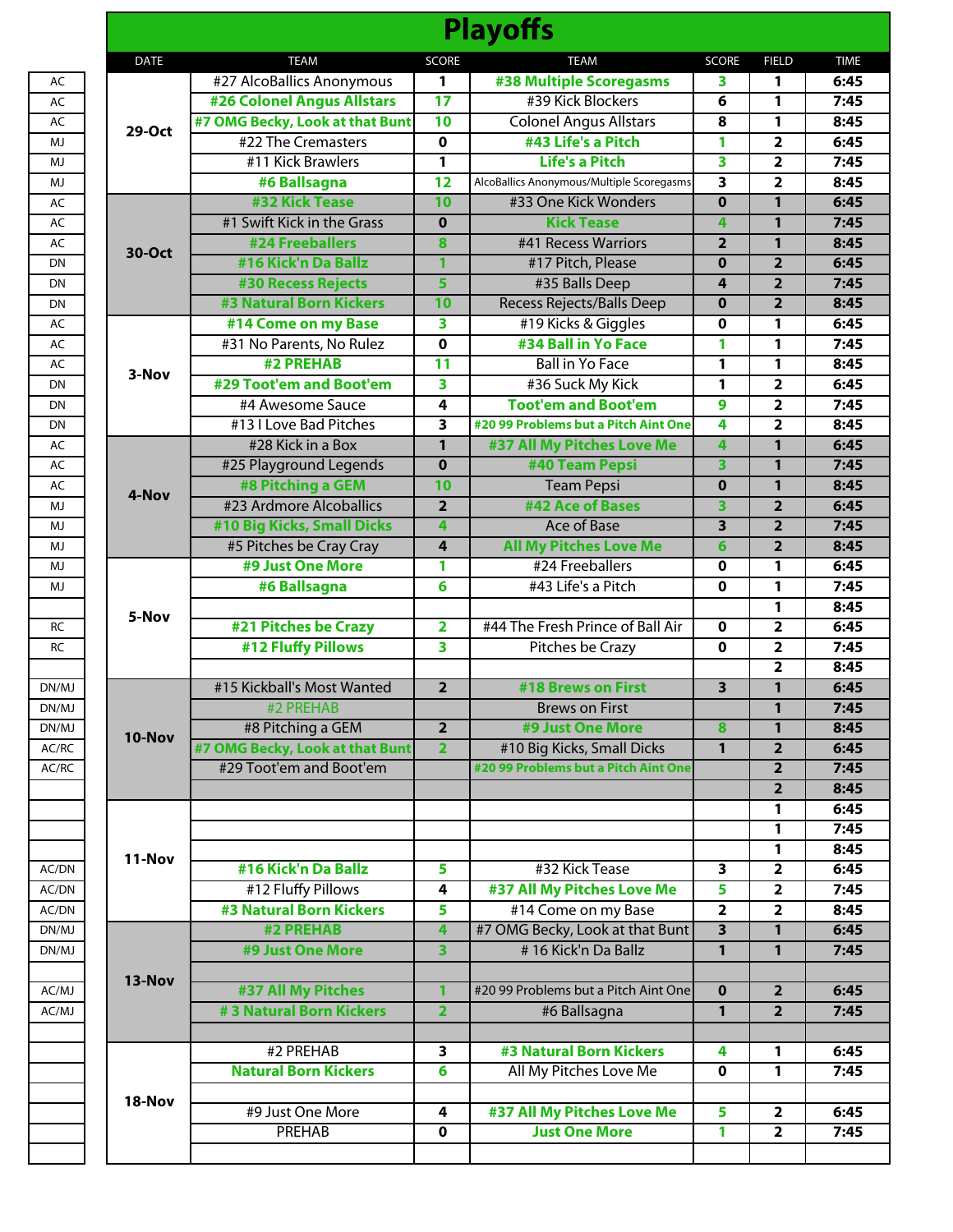|             |                                   |                         | <b>Playoffs</b>                           |                         |                         |
|-------------|-----------------------------------|-------------------------|-------------------------------------------|-------------------------|-------------------------|
| <b>DATE</b> | <b>TEAM</b>                       | <b>SCORE</b>            | <b>TEAM</b>                               | <b>SCORE</b>            | <b>FIELD</b>            |
|             | #27 AlcoBallics Anonymous         | 1                       | #38 Multiple Scoregasms                   | 3                       | 1                       |
|             | <b>#26 Colonel Angus Allstars</b> | $\overline{17}$         | #39 Kick Blockers                         | 6                       | 1                       |
| $29-Oct$    | #7 OMG Becky, Look at that Bunt   | $\overline{10}$         | <b>Colonel Angus Allstars</b>             | 8                       | $\mathbf{1}$            |
|             | #22 The Cremasters                | $\overline{\mathbf{0}}$ | #43 Life's a Pitch                        | 1                       | $\overline{2}$          |
|             | #11 Kick Brawlers                 | $\overline{\mathbf{1}}$ | <b>Life's a Pitch</b>                     | 3                       | $\overline{2}$          |
|             | #6 Ballsagna                      | 12                      | AlcoBallics Anonymous/Multiple Scoregasms | 3                       | $\overline{2}$          |
|             | #32 Kick Tease                    | 10                      | #33 One Kick Wonders                      | $\mathbf 0$             | $\mathbf{1}$            |
|             | #1 Swift Kick in the Grass        | $\overline{\mathbf{0}}$ | <b>Kick Tease</b>                         | 4                       | $\mathbf{1}$            |
| 30-Oct      | #24 Freeballers                   | 8                       | #41 Recess Warriors                       | $\overline{\mathbf{2}}$ | $\mathbf{1}$            |
|             | #16 Kick'n Da Ballz               | 1                       | #17 Pitch, Please                         | $\bf{0}$                | $\overline{2}$          |
|             | <b>#30 Recess Rejects</b>         | 5                       | #35 Balls Deep                            | 4                       | $\overline{2}$          |
|             | <b>#3 Natural Born Kickers</b>    | 10                      | <b>Recess Rejects/Balls Deep</b>          | $\mathbf 0$             | $\overline{2}$          |
|             | #14 Come on my Base               | $\overline{\mathbf{3}}$ | #19 Kicks & Giggles                       | $\mathbf 0$             | 1                       |
|             | #31 No Parents, No Rulez          | $\overline{\mathbf{0}}$ | #34 Ball in Yo Face                       | 1                       | $\mathbf{1}$            |
| 3-Nov       | #2 PREHAB                         | 11                      | <b>Ball in Yo Face</b>                    | 1                       | 1                       |
|             | #29 Toot'em and Boot'em           | 3                       | #36 Suck My Kick                          | 1                       | $\overline{2}$          |
|             | #4 Awesome Sauce                  | 4                       | <b>Toot'em and Boot'em</b>                | 9                       | $\overline{\mathbf{2}}$ |
|             | #13 I Love Bad Pitches            | $\overline{\mathbf{3}}$ | #20 99 Problems but a Pitch Aint One      | 4                       | $\overline{2}$          |
|             | #28 Kick in a Box                 | $\mathbf{1}$            | #37 All My Pitches Love Me                | 4                       | 1                       |
|             | #25 Playground Legends            | $\mathbf 0$             | #40 Team Pepsi                            | 3                       | $\mathbf{1}$            |
| 4-Nov       | #8 Pitching a GEM                 | 10                      | <b>Team Pepsi</b>                         | $\mathbf 0$             | $\mathbf{1}$            |
|             | #23 Ardmore Alcoballics           | $\overline{2}$          | #42 Ace of Bases                          | 3                       | $\overline{2}$          |
|             | #10 Big Kicks, Small Dicks        | $\overline{4}$          | <b>Ace of Base</b>                        | 3                       | $\overline{2}$          |
|             | #5 Pitches be Cray Cray           | 4                       | <b>All My Pitches Love Me</b>             | 6                       | $\overline{2}$          |
|             | #9 Just One More                  | 1                       | #24 Freeballers                           | 0                       | 1                       |
|             | #6 Ballsagna                      | 6                       | #43 Life's a Pitch                        | $\mathbf 0$             | $\mathbf{1}$            |
| 5-Nov       |                                   |                         |                                           |                         | 1                       |
|             | #21 Pitches be Crazy              | $\overline{\mathbf{2}}$ | #44 The Fresh Prince of Ball Air          | 0                       | $\overline{\mathbf{2}}$ |
|             | #12 Fluffy Pillows                | 3                       | Pitches be Crazy                          | $\mathbf 0$             | $\overline{\mathbf{2}}$ |
|             |                                   |                         |                                           |                         | $\overline{2}$          |
|             | #15 Kickball's Most Wanted        | $\overline{2}$          | #18 Brews on First                        | 3                       | 1                       |
|             | #2 PREHAB                         |                         | <b>Brews on First</b>                     |                         | $\mathbf{1}$            |
| 10-Nov      | #8 Pitching a GEM                 | $\overline{2}$          | <b>#9 Just One More</b>                   | 8                       | $\mathbf{1}$            |
|             | #7 OMG Becky, Look at that Bunt   | $\overline{2}$          | #10 Big Kicks, Small Dicks                | $\mathbf{1}$            | $\overline{2}$          |
|             | #29 Toot'em and Boot'em           |                         | #20 99 Problems but a Pitch Aint One      |                         | $\overline{\mathbf{2}}$ |
|             |                                   |                         |                                           |                         | $\overline{2}$          |
|             |                                   |                         |                                           |                         | 1                       |
|             |                                   |                         |                                           |                         | $\mathbf{1}$            |
| 11-Nov      |                                   |                         |                                           |                         | 1                       |
|             | #16 Kick'n Da Ballz               | 5                       | #32 Kick Tease                            | 3                       | $\overline{\mathbf{2}}$ |
|             | #12 Fluffy Pillows                | 4                       | #37 All My Pitches Love Me                | 5                       | $\mathbf{2}$            |
|             | <b>#3 Natural Born Kickers</b>    | 5                       | #14 Come on my Base                       | 2                       | $\overline{\mathbf{2}}$ |
|             | #2 PREHAB                         | 4                       | #7 OMG Becky, Look at that Bunt           | $\overline{\mathbf{3}}$ | $\mathbf{1}$            |
|             | #9 Just One More                  | $\overline{\mathbf{3}}$ | #16 Kick'n Da Ballz                       | $\overline{1}$          | $\overline{1}$          |
| 13-Nov      | #37 All My Pitches                | 1                       | #20 99 Problems but a Pitch Aint One      | $\bf{0}$                | $\overline{2}$          |
|             | <b>#3 Natural Born Kickers</b>    | $\overline{2}$          | #6 Ballsagna                              | $\mathbf{1}$            | $\overline{2}$          |
|             |                                   |                         |                                           |                         |                         |
|             | #2 PREHAB                         | 3                       | <b>#3 Natural Born Kickers</b>            | 4                       | 1                       |
|             | <b>Natural Born Kickers</b>       | 6                       | All My Pitches Love Me                    | $\mathbf 0$             | $\mathbf{1}$            |
| 18-Nov      |                                   |                         |                                           |                         |                         |
|             | #9 Just One More                  | 4                       | #37 All My Pitches Love Me                | 5                       | $\overline{\mathbf{2}}$ |
|             | PREHAB                            | 0                       | <b>Just One More</b>                      | 1                       | $\overline{2}$          |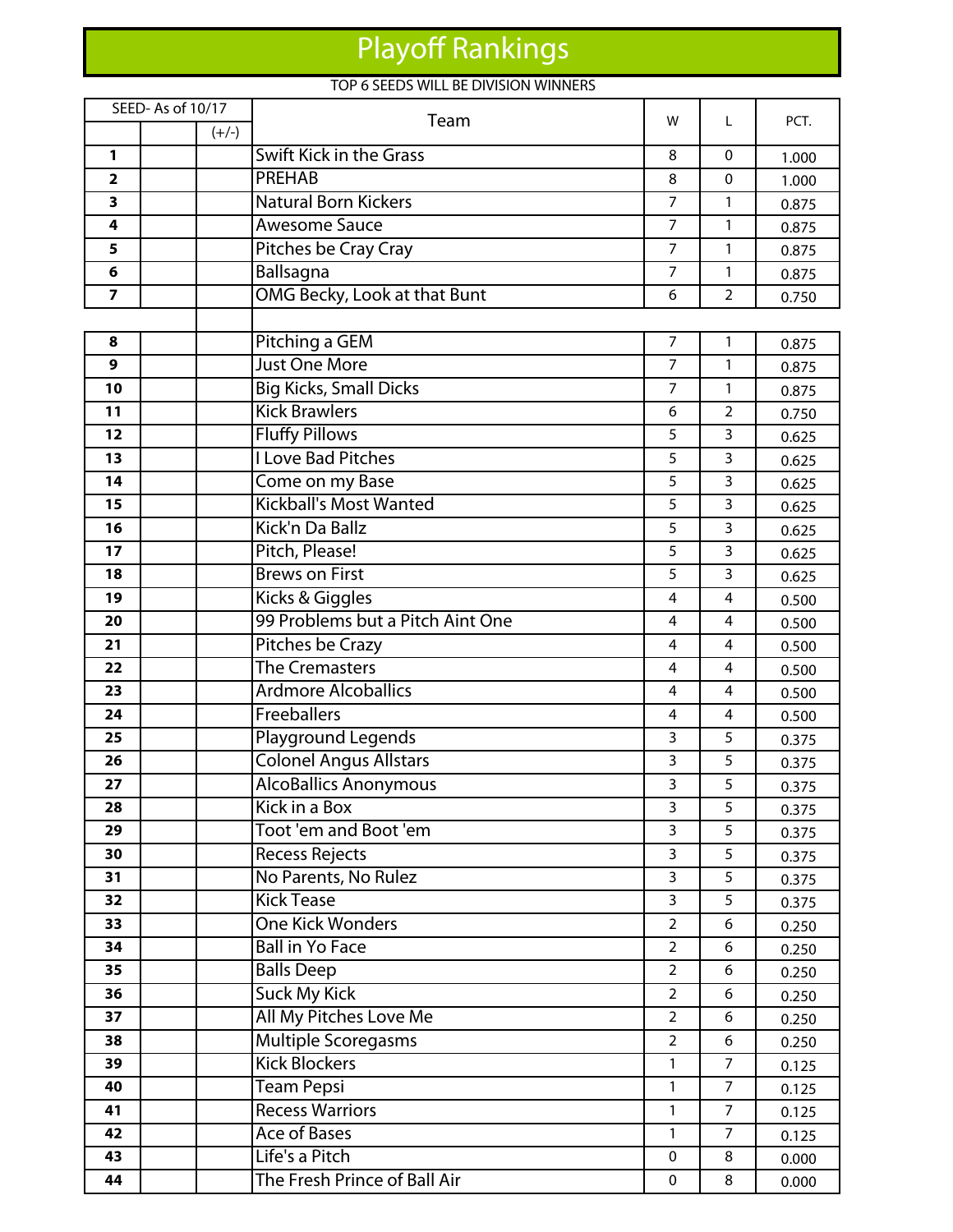# Playoff Rankings

### TOP 6 SEEDS WILL BE DIVISION WINNERS

|                         | SEED-As of 10/17 | Team                             | w              | L              | PCT.  |
|-------------------------|------------------|----------------------------------|----------------|----------------|-------|
|                         | $(+/-)$          |                                  |                |                |       |
| 1                       |                  | Swift Kick in the Grass          | 8              | $\mathbf{0}$   | 1.000 |
| $\overline{\mathbf{2}}$ |                  | <b>PREHAB</b>                    | 8              | 0              | 1.000 |
| 3                       |                  | <b>Natural Born Kickers</b>      | $\overline{7}$ | $\mathbf{1}$   | 0.875 |
| 4                       |                  | <b>Awesome Sauce</b>             | $\overline{7}$ | 1              | 0.875 |
| 5                       |                  | Pitches be Cray Cray             | $\overline{7}$ | $\mathbf{1}$   | 0.875 |
| 6                       |                  | Ballsagna                        | $\overline{7}$ | 1              | 0.875 |
| $\overline{7}$          |                  | OMG Becky, Look at that Bunt     | 6              | $\overline{2}$ | 0.750 |
|                         |                  |                                  |                |                |       |
| 8                       |                  | Pitching a GEM                   | $\overline{7}$ | 1              | 0.875 |
| 9                       |                  | <b>Just One More</b>             | $\overline{7}$ | 1              | 0.875 |
| 10                      |                  | <b>Big Kicks, Small Dicks</b>    | $\overline{7}$ | $\mathbf{1}$   | 0.875 |
| 11                      |                  | <b>Kick Brawlers</b>             | 6              | $\overline{2}$ | 0.750 |
| 12                      |                  | <b>Fluffy Pillows</b>            | 5              | 3              | 0.625 |
| 13                      |                  | <b>I Love Bad Pitches</b>        | 5              | $\overline{3}$ | 0.625 |
| 14                      |                  | Come on my Base                  | 5              | $\overline{3}$ | 0.625 |
| 15                      |                  | <b>Kickball's Most Wanted</b>    | 5              | 3              | 0.625 |
| 16                      |                  | Kick'n Da Ballz                  | 5              | 3              | 0.625 |
| 17                      |                  | Pitch, Please!                   | 5              | 3              | 0.625 |
| 18                      |                  | <b>Brews on First</b>            | 5              | 3              | 0.625 |
| 19                      |                  | Kicks & Giggles                  | 4              | 4              | 0.500 |
| 20                      |                  | 99 Problems but a Pitch Aint One | 4              | 4              | 0.500 |
| 21                      |                  | Pitches be Crazy                 | 4              | 4              | 0.500 |
| 22                      |                  | <b>The Cremasters</b>            | 4              | 4              | 0.500 |
| 23                      |                  | <b>Ardmore Alcoballics</b>       | 4              | 4              | 0.500 |
| 24                      |                  | Freeballers                      | 4              | 4              | 0.500 |
| 25                      |                  | Playground Legends               | 3              | 5              | 0.375 |
| 26                      |                  | <b>Colonel Angus Allstars</b>    | 3              | 5              | 0.375 |
| 27                      |                  | <b>AlcoBallics Anonymous</b>     | 3              | 5              | 0.375 |
| 28                      |                  | Kick in a Box                    | 3              | 5              | 0.375 |
| 29                      |                  | Toot 'em and Boot 'em            | 3              | 5              | 0.375 |
| 30                      |                  | <b>Recess Rejects</b>            | $\overline{3}$ | 5              | 0.375 |
| 31                      |                  | No Parents, No Rulez             | 3              | 5              | 0.375 |
| 32                      |                  | <b>Kick Tease</b>                | $\overline{3}$ | 5              | 0.375 |
| 33                      |                  | <b>One Kick Wonders</b>          | $\overline{2}$ | 6              | 0.250 |
| 34                      |                  | <b>Ball in Yo Face</b>           | $\overline{2}$ | 6              | 0.250 |
| 35                      |                  | <b>Balls Deep</b>                | $\overline{2}$ | 6              | 0.250 |
| 36                      |                  | <b>Suck My Kick</b>              | $\overline{2}$ | 6              | 0.250 |
| 37                      |                  | All My Pitches Love Me           | $\overline{2}$ | 6              | 0.250 |
| 38                      |                  | <b>Multiple Scoregasms</b>       | $\overline{2}$ | 6              | 0.250 |
| 39                      |                  | <b>Kick Blockers</b>             | 1              | $\overline{7}$ | 0.125 |
| 40                      |                  | <b>Team Pepsi</b>                | 1              | $\overline{7}$ | 0.125 |
| 41                      |                  | <b>Recess Warriors</b>           | 1              | $\overline{7}$ | 0.125 |
| 42                      |                  | <b>Ace of Bases</b>              | 1              | $\overline{7}$ | 0.125 |
| 43                      |                  | Life's a Pitch                   | 0              | 8              | 0.000 |
| 44                      |                  | The Fresh Prince of Ball Air     | 0              | 8              | 0.000 |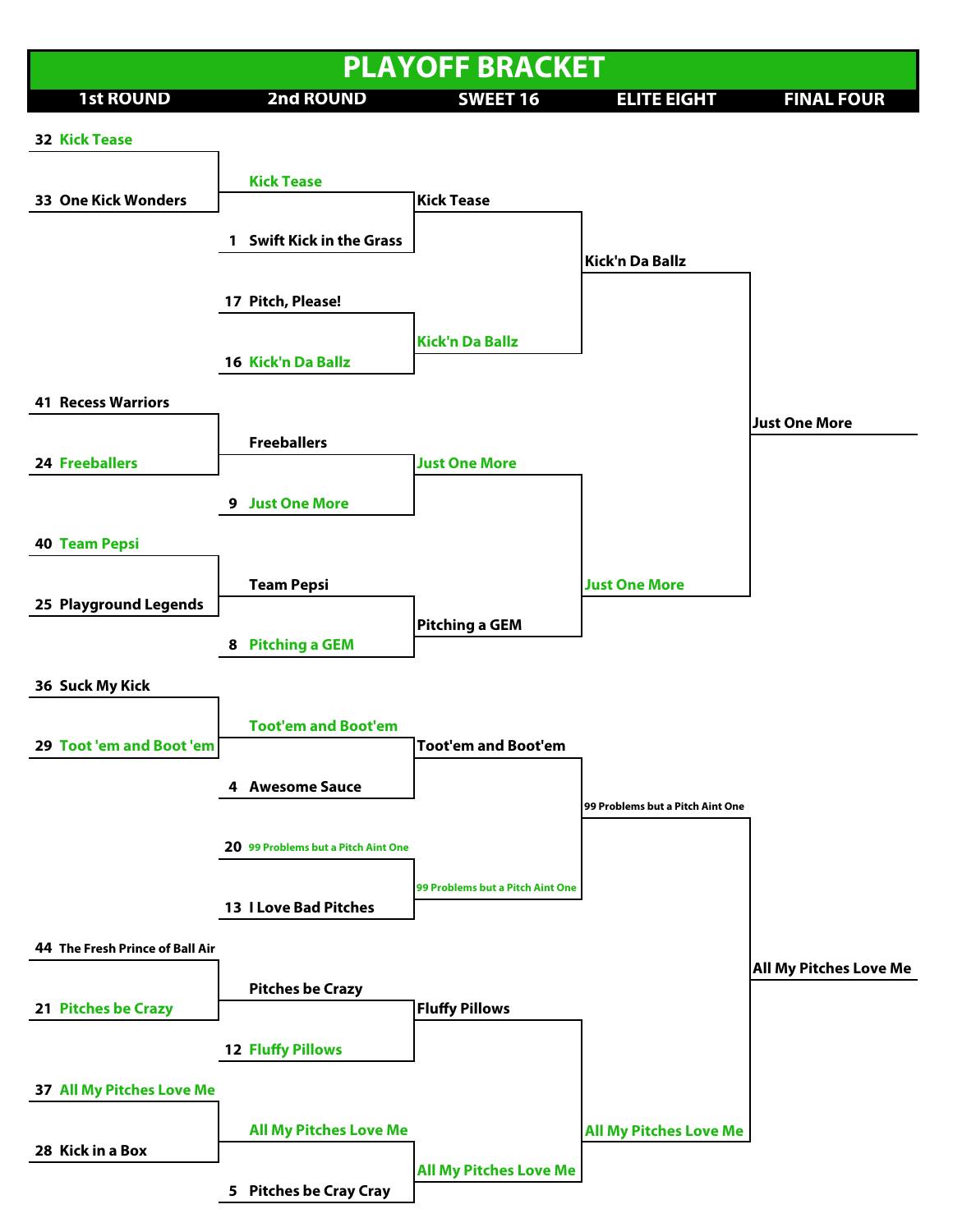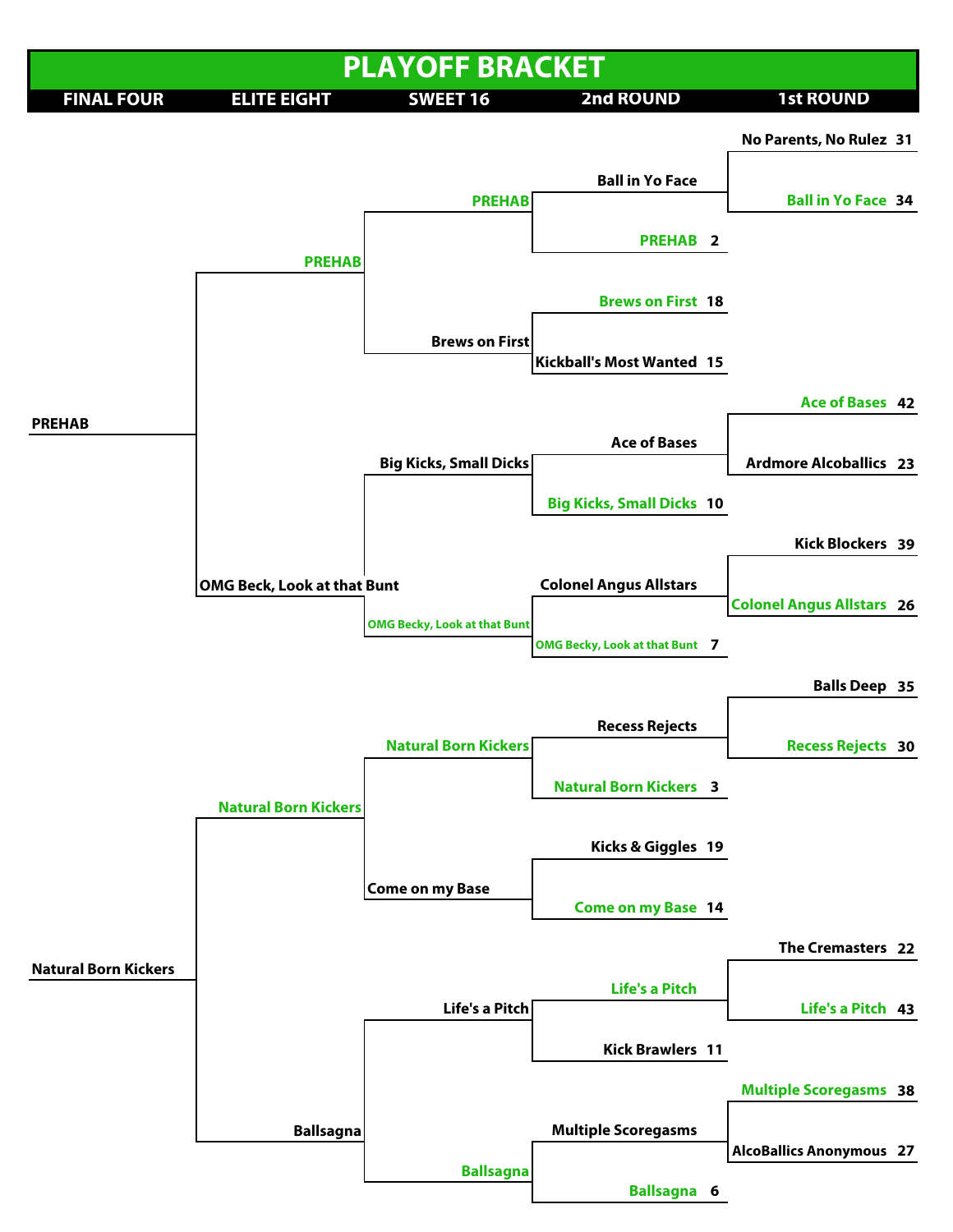